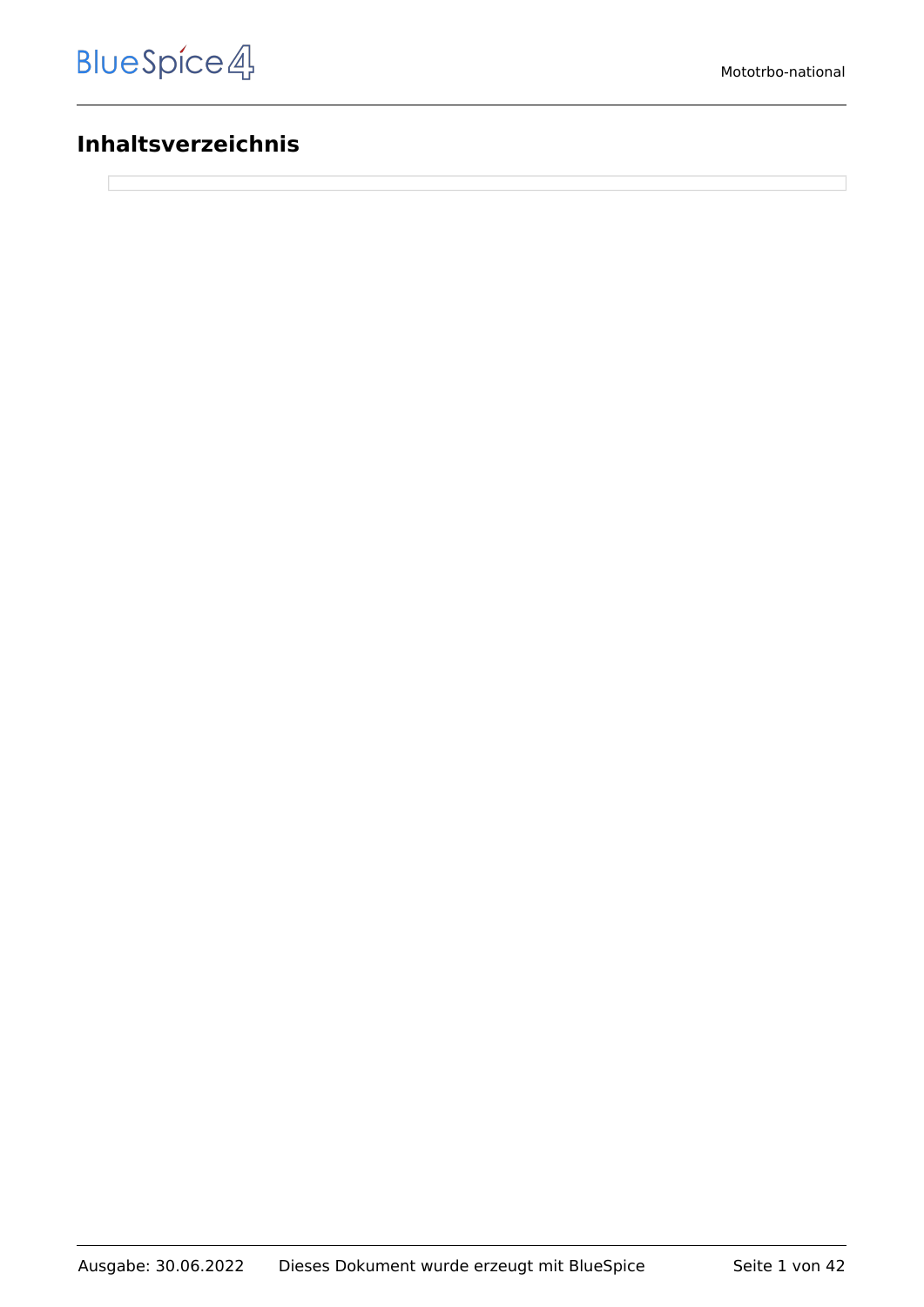#### **Inhaltsverzeichnis**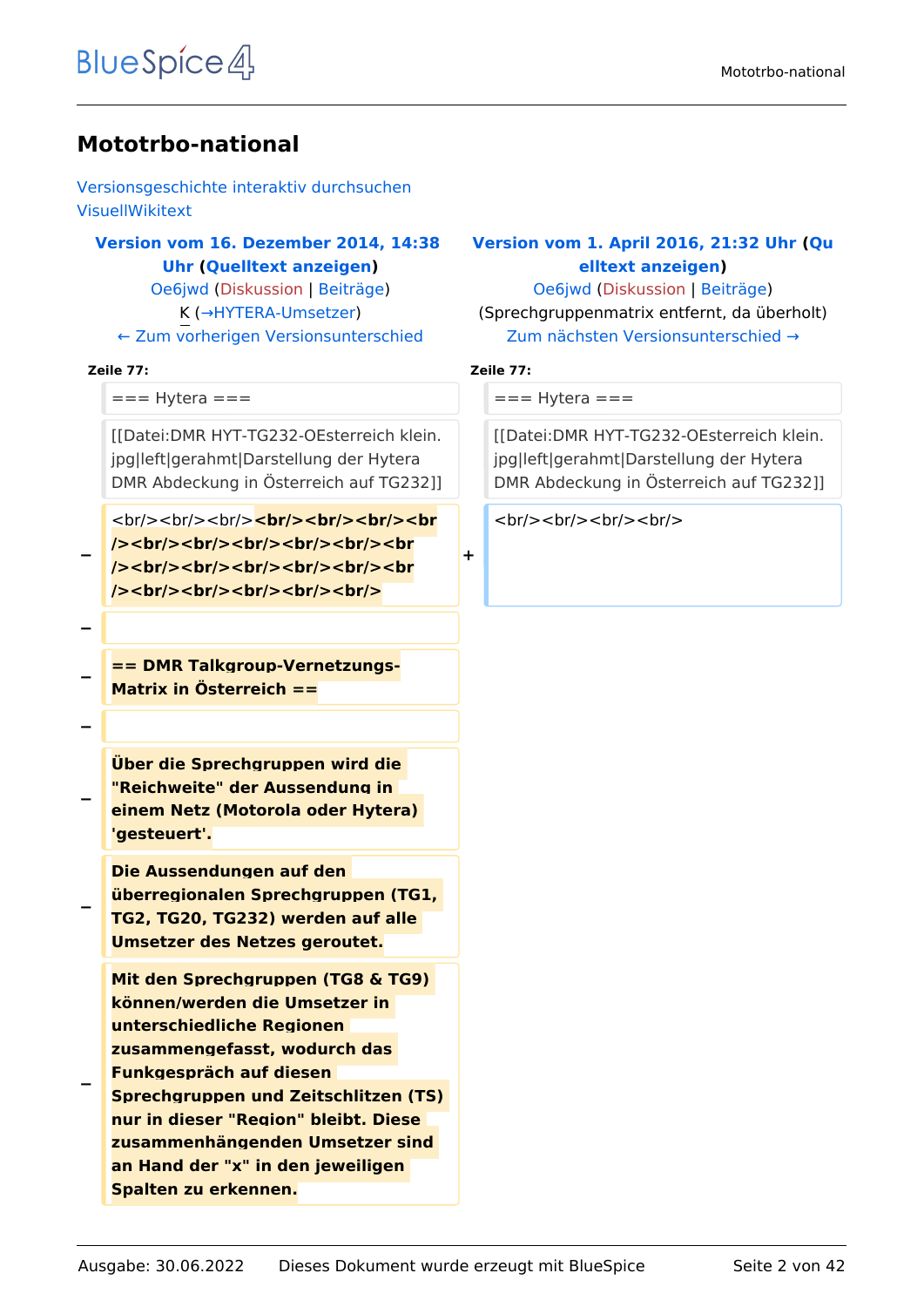#### **Mototrbo-national**

[Versionsgeschichte interaktiv durchsuchen](https://wiki.oevsv.at) [VisuellWikitext](https://wiki.oevsv.at)

#### **[Version vom 16. Dezember 2014, 14:38](https://wiki.oevsv.at/w/index.php?title=Mototrbo-national&oldid=13256)  [Uhr](https://wiki.oevsv.at/w/index.php?title=Mototrbo-national&oldid=13256) ([Quelltext anzeigen\)](https://wiki.oevsv.at/w/index.php?title=Mototrbo-national&action=edit&oldid=13256)** [Oe6jwd](https://wiki.oevsv.at/wiki/Benutzer:Oe6jwd) ([Diskussion](https://wiki.oevsv.at/w/index.php?title=Benutzer_Diskussion:Oe6jwd&action=view) | [Beiträge\)](https://wiki.oevsv.at/wiki/Spezial:Beitr%C3%A4ge/Oe6jwd)

K (→HYTERA-Umsetzer) [← Zum vorherigen Versionsunterschied](https://wiki.oevsv.at/w/index.php?title=Mototrbo-national&diff=prev&oldid=13256)

#### **Zeile 77: Zeile 77:**

```
== Hytera == = = = + Hytera ==
```
[[Datei:DMR HYT-TG232-OEsterreich klein. jpg|left|gerahmt|Darstellung der Hytera DMR Abdeckung in Österreich auf TG232]]

<br/>
<br/>
<br/>
<br/>
<br/>
<br/>
<br/>
<br/>
<br/>
<br/>
<br/>
<br/>
<br/>
<br/>
<br/>
<br/>
<br/>
<br/>
<br/>
<br/>
<br/>
<br/>
<br/>
<br/>
<br/>
<br/>
<br/>
<br/>
<br/>
<br/>
<br/>
<br/>
<br/>
<br/>
<br/>
<br/>
<br/> **/><br/><br/><br/><br/><br/><br /><br/><br/><br/><br/><br/><br /><br/><br/><br/><br/><br/>**

**−**

**−**

**−**

**== DMR Talkgroup-Vernetzungs-Matrix in Österreich ==**

**−**

**−**

**−**

**Über die Sprechgruppen wird die "Reichweite" der Aussendung in einem Netz (Motorola oder Hytera) 'gesteuert'.**

**Die Aussendungen auf den überregionalen Sprechgruppen (TG1, TG2, TG20, TG232) werden auf alle Umsetzer des Netzes geroutet.**

**Mit den Sprechgruppen (TG8 & TG9) können/werden die Umsetzer in unterschiedliche Regionen zusammengefasst, wodurch das Funkgespräch auf diesen** 

**− Sprechgruppen und Zeitschlitzen (TS) nur in dieser "Region" bleibt. Diese zusammenhängenden Umsetzer sind an Hand der "x" in den jeweiligen Spalten zu erkennen.**

#### **[Version vom 1. April 2016, 21:32 Uhr](https://wiki.oevsv.at/w/index.php?title=Mototrbo-national&oldid=14005) ([Qu](https://wiki.oevsv.at/w/index.php?title=Mototrbo-national&action=edit&oldid=14005) [elltext anzeigen](https://wiki.oevsv.at/w/index.php?title=Mototrbo-national&action=edit&oldid=14005))**

[Oe6jwd](https://wiki.oevsv.at/wiki/Benutzer:Oe6jwd) [\(Diskussion](https://wiki.oevsv.at/w/index.php?title=Benutzer_Diskussion:Oe6jwd&action=view) | [Beiträge](https://wiki.oevsv.at/wiki/Spezial:Beitr%C3%A4ge/Oe6jwd)) (Sprechgruppenmatrix entfernt, da überholt) [Zum nächsten Versionsunterschied →](https://wiki.oevsv.at/w/index.php?title=Mototrbo-national&diff=next&oldid=14005)

**+**

[[Datei:DMR HYT-TG232-OEsterreich klein. jpg|left|gerahmt|Darstellung der Hytera DMR Abdeckung in Österreich auf TG232]]

 $br/>=  
br/>=  
br/>=  
br/>=  
br/>=  
br/>=$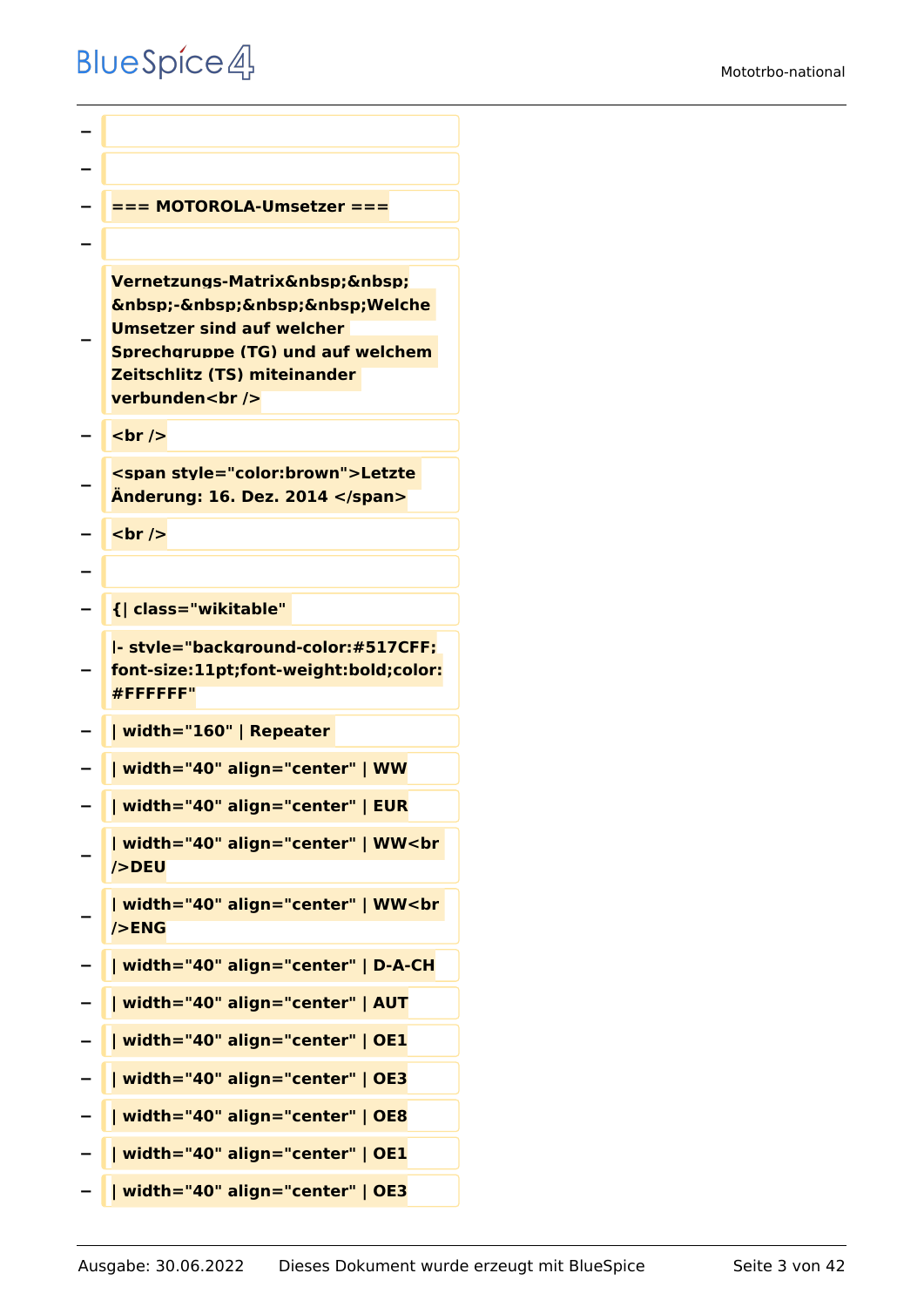```
−
−
  − === MOTOROLA-Umsetzer ===
−
−
   Vernetzungs-Matrix   
   knbsp;-   Welche
   Umsetzer sind auf welcher 
   Sprechgruppe (TG) und auf welchem 
   Zeitschlitz (TS) miteinander 
   verbunden<br />
  <u><del></del> <br /></u>
−
   <span style="color:brown">Letzte 
   Änderung: 16. Dez. 2014 </span>
  − <br />
−
  − {| class="wikitable" 
−
   |- style="background-color:#517CFF;
   font-size:11pt;font-weight:bold;color:
   #FFFFFF"
  − | width="160" | Repeater 
− | width="40" align="center" | WW
  − | width="40" align="center" | EUR
−
   | width="40" align="center" | WW<br 
   />DEU
−
   | width="40" align="center" | WW<br 
   />ENG
− | width="40" align="center" | D-A-CH
− | width="40" align="center" | AUT
  − | width="40" align="center" | OE1
  − | width="40" align="center" | OE3
  − | width="40" align="center" | OE8
   − | width="40" align="center" | OE1
   − | width="40" align="center" | OE3
```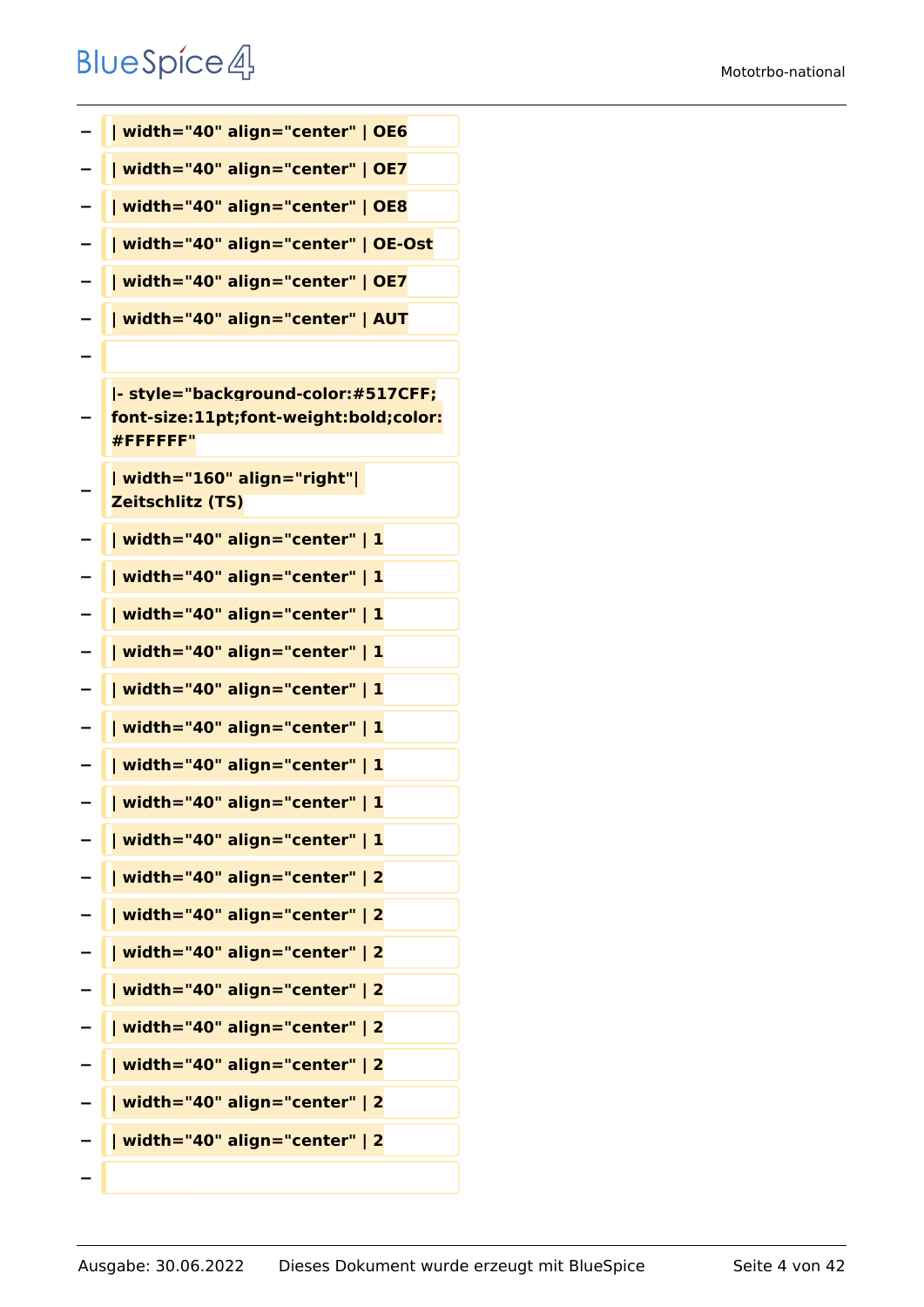| - | width="40" align="center"   OE6                                                          |
|---|------------------------------------------------------------------------------------------|
|   | width="40" align="center"   OE7                                                          |
|   | width="40" align="center"   OE8                                                          |
|   | width="40" align="center"   OE-Ost                                                       |
|   | width="40" align="center"   OE7                                                          |
|   | width="40" align="center"   AUT                                                          |
|   |                                                                                          |
|   | - style="background-color:#517CFF;<br>font-size:11pt;font-weight:bold;color:<br>#FFFFFF" |
|   | width="160" align="right" <br><b>Zeitschlitz (TS)</b>                                    |
|   | width="40" align="center"   1                                                            |
|   | width="40" align="center"   1                                                            |
|   | width="40" align="center"   1                                                            |
|   | width="40" align="center"   1                                                            |
|   | width="40" align="center"   1                                                            |
|   | width="40" align="center"   1                                                            |
| - | width="40" align="center"   1                                                            |
|   | width="40" align="center"   1                                                            |
|   | width="40" align="center"   1                                                            |
|   | width="40" align="center"   2                                                            |
|   | width="40" align="center"   2                                                            |
|   | width="40" align="center"   2                                                            |
|   | width="40" align="center"   2                                                            |
|   | width="40" align="center"   2                                                            |
|   | width="40" align="center"   2                                                            |
|   | width="40" align="center"   2                                                            |
|   | width="40" align="center"   2                                                            |
|   |                                                                                          |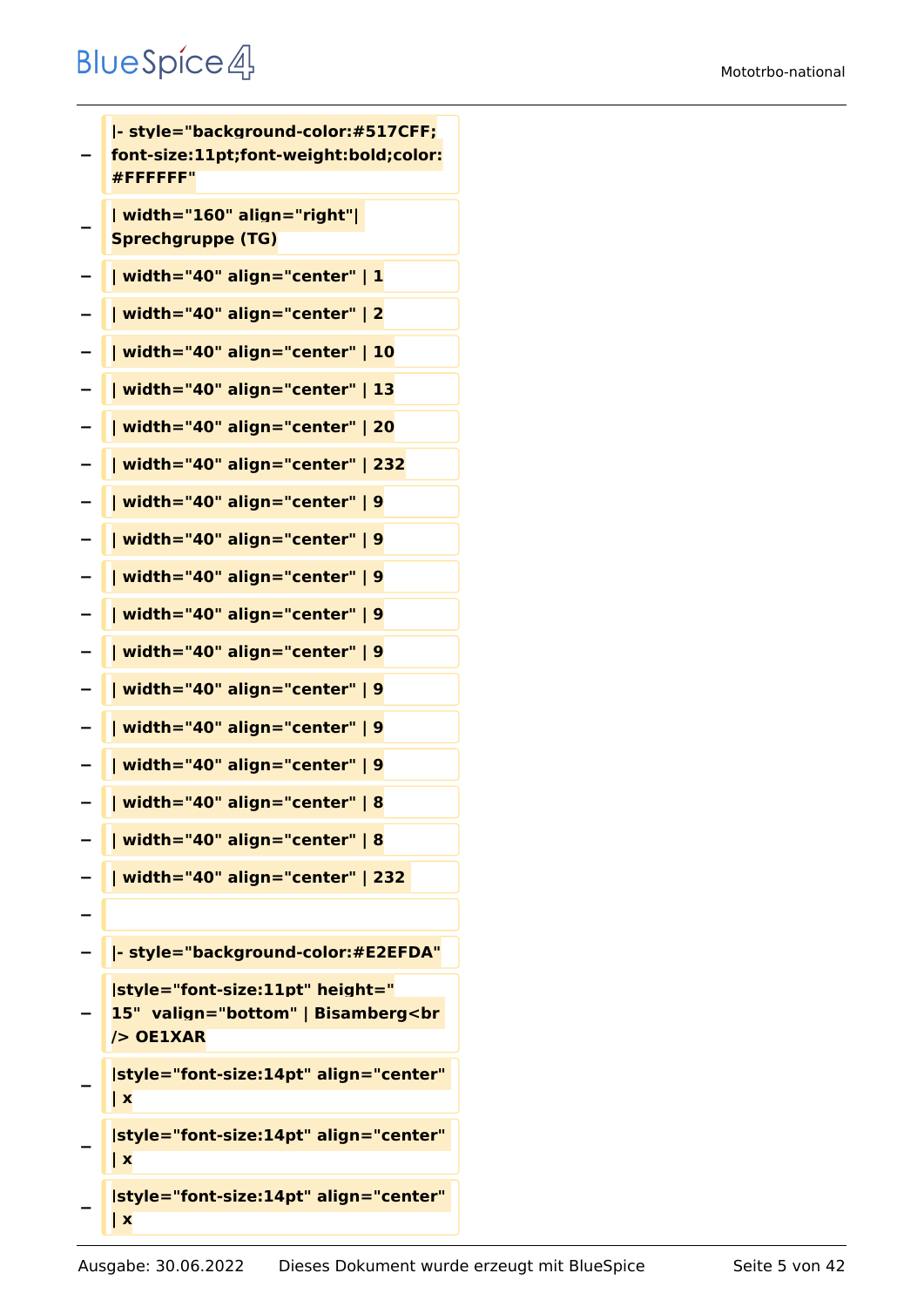**− |- style="background-color:#517CFF; font-size:11pt;font-weight:bold;color: #FFFFFF" − | width="160" align="right"| Sprechgruppe (TG) − | width="40" align="center" | 1 − | width="40" align="center" | 2 − | width="40" align="center" | 10 − | width="40" align="center" | 13 − | width="40" align="center" | 20 − | width="40" align="center" | 232 − | width="40" align="center" | 9 − | width="40" align="center" | 9 − | width="40" align="center" | 9 − | width="40" align="center" | 9 − | width="40" align="center" | 9 − | width="40" align="center" | 9 − | width="40" align="center" | 9 − | width="40" align="center" | 9 − | width="40" align="center" | 8 − | width="40" align="center" | 8 − | width="40" align="center" | 232 − − |- style="background-color:#E2EFDA" − |style="font-size:11pt" height=" 15" valign="bottom" | Bisamberg<br /> OE1XAR − |style="font-size:14pt" align="center" | x − |style="font-size:14pt" align="center" | x − |style="font-size:14pt" align="center" | x**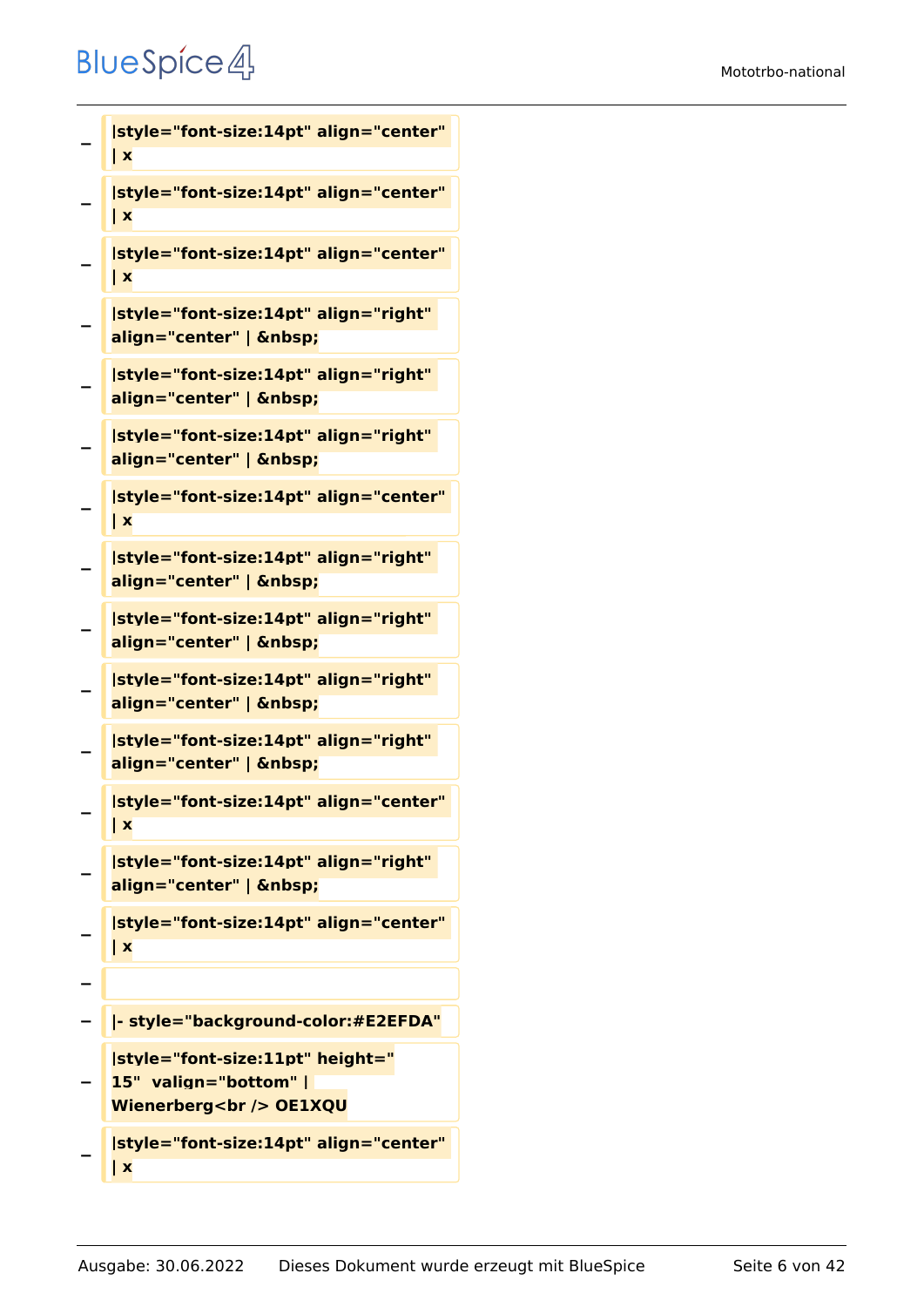```
−
   |style="font-size:14pt" align="center" 
   | x
−
   |style="font-size:14pt" align="center" 
   | x
−
   |style="font-size:14pt" align="center" 
   | x
−
   |style="font-size:14pt" align="right" 
   align="center" |  
−
   |style="font-size:14pt" align="right" 
   align="center" |  
−
   |style="font-size:14pt" align="right" 
   align="center" |  
−
   |style="font-size:14pt" align="center" 
   | x
−
   |style="font-size:14pt" align="right" 
   align="center" |  
−
   |style="font-size:14pt" align="right" 
   align="center" |  
−
   |style="font-size:14pt" align="right" 
   align="center" |  
−
   |style="font-size:14pt" align="right" 
   align="center" |  
−
   |style="font-size:14pt" align="center" 
   | x
−
   |style="font-size:14pt" align="right" 
   align="center" |  
−
   |style="font-size:14pt" align="center" 
   | x
−
  − |- style="background-color:#E2EFDA"
−
   |style="font-size:11pt" height="
   15"  valign="bottom" | 
   Wienerberg<br /> OE1XQU
−
   |style="font-size:14pt" align="center"
```
**| x**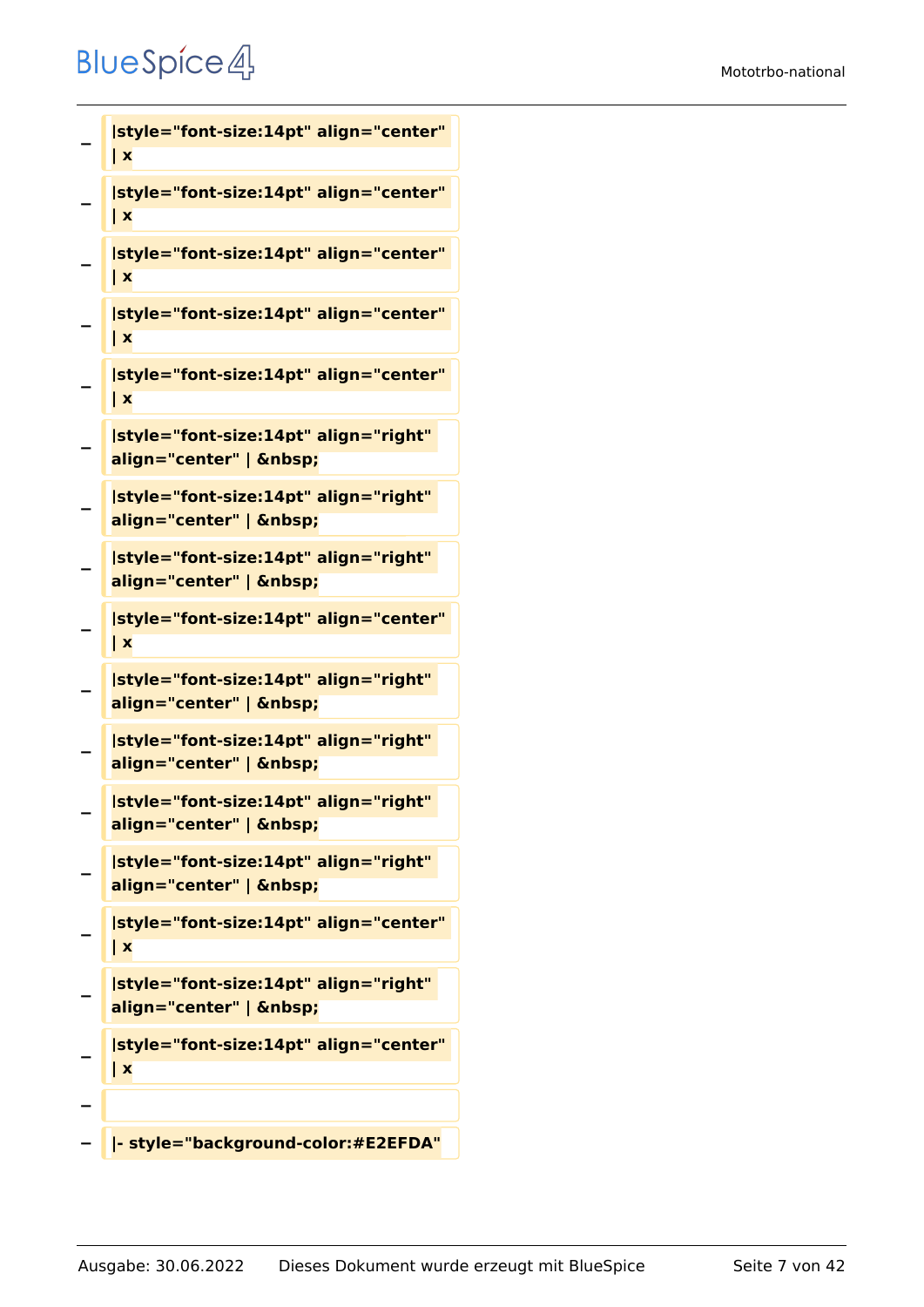```
−
   |style="font-size:14pt" align="center" 
   | x
−
   |style="font-size:14pt" align="center" 
   | x
−
   |style="font-size:14pt" align="center" 
   | x
−
   |style="font-size:14pt" align="center" 
   | x
−
   |style="font-size:14pt" align="center" 
   | x
−
   |style="font-size:14pt" align="right" 
   align="center" |  
−
   |style="font-size:14pt" align="right" 
   align="center" |  
−
   |style="font-size:14pt" align="right" 
   align="center" |  
−
   |style="font-size:14pt" align="center" 
   | x
−
   |style="font-size:14pt" align="right" 
   align="center" |  
−
   |style="font-size:14pt" align="right" 
   align="center" |  
−
   |style="font-size:14pt" align="right" 
   align="center" |  
−
   |style="font-size:14pt" align="right" 
   align="center" |  
−
   |style="font-size:14pt" align="center" 
   | x
−
   |style="font-size:14pt" align="right" 
   align="center" |  
−
   |style="font-size:14pt" align="center" 
   | x
−
  − |- style="background-color:#E2EFDA"
```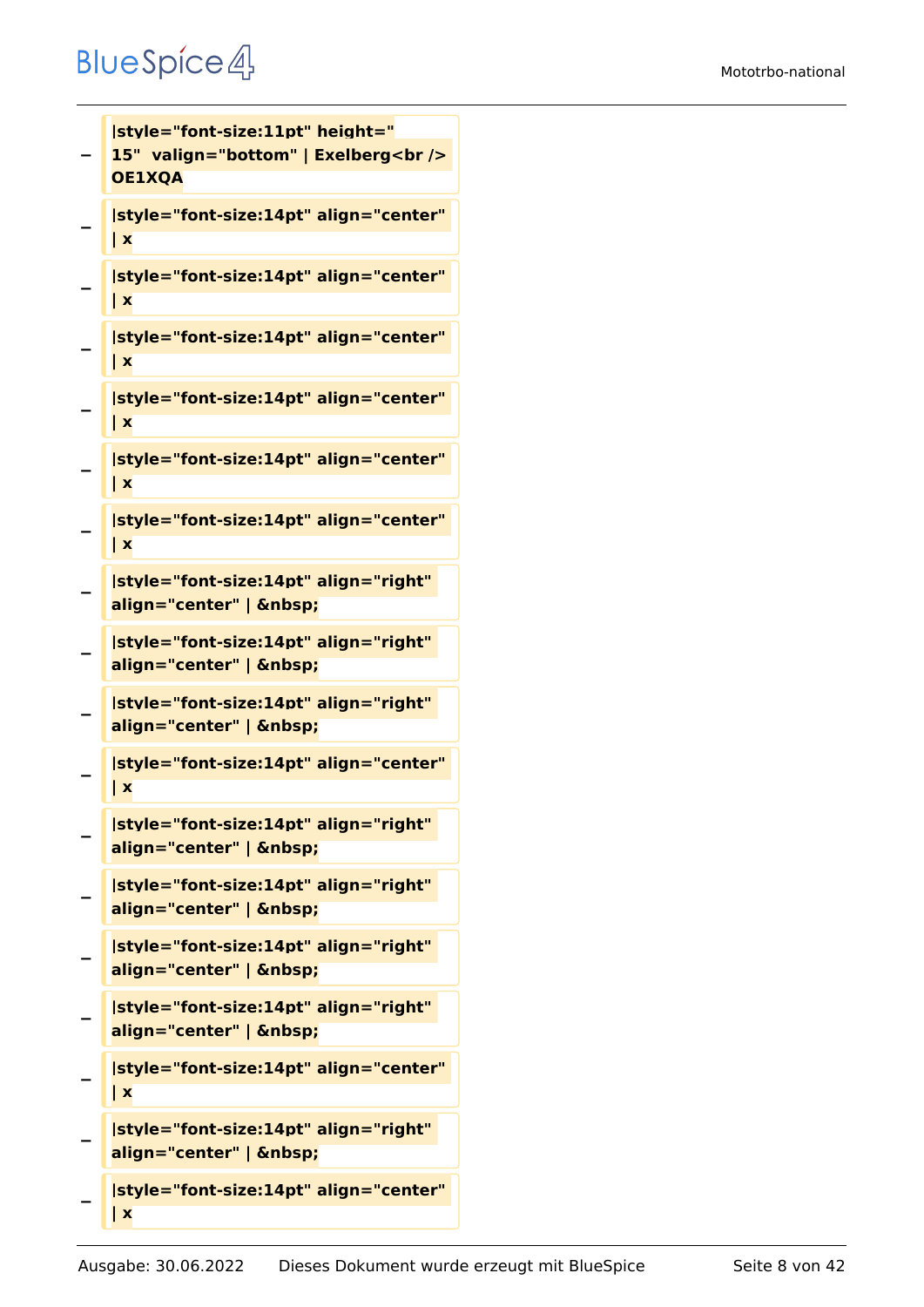#### Mototrbo-national

#### **BlueSpice4**

```
−
   |style="font-size:11pt" height="
  15" valign="bottom" | Exelberg<br />
   OE1XQA
−
   |style="font-size:14pt" align="center" 
   | x
−
   |style="font-size:14pt" align="center" 
   | x
−
   |style="font-size:14pt" align="center" 
   | x
−
   |style="font-size:14pt" align="center" 
   | x
−
   |style="font-size:14pt" align="center" 
   | x
−
   |style="font-size:14pt" align="center" 
   | x
−
   |style="font-size:14pt" align="right" 
   align="center" |  
−
   |style="font-size:14pt" align="right" 
   align="center" |  
−
   |style="font-size:14pt" align="right" 
   align="center" |  
−
   |style="font-size:14pt" align="center" 
   | x
−
   |style="font-size:14pt" align="right" 
   align="center" |  
−
   |style="font-size:14pt" align="right" 
   align="center" |  
−
   |style="font-size:14pt" align="right" 
   align="center" |  
−
   |style="font-size:14pt" align="right" 
   align="center" |  
−
   |style="font-size:14pt" align="center" 
   | x
−
   |style="font-size:14pt" align="right" 
   align="center" |  
   |style="font-size:14pt" align="center"
```

```
Ausgabe: 30.06.2022 Dieses Dokument wurde erzeugt mit BlueSpice Seite 8 von 42
```
**−**

**| x**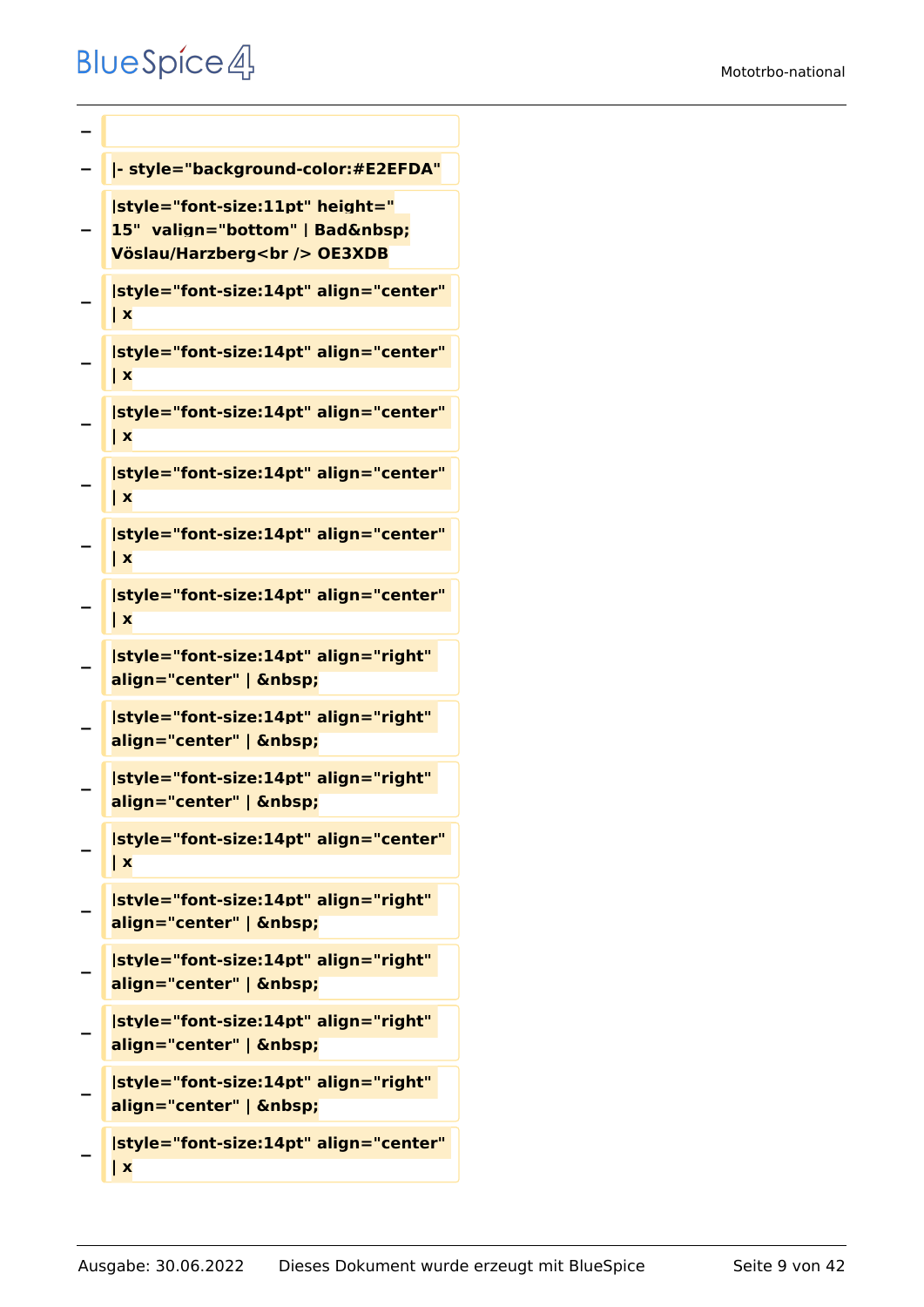```
−
− |- style="background-color:#E2EFDA"
−
   |style="font-size:11pt" height="
   15" valign="bottom" | Bad 
   Vöslau/Harzberg<br /> OE3XDB
−
   |style="font-size:14pt" align="center" 
   | x
−
   |style="font-size:14pt" align="center" 
   | x
−
   |style="font-size:14pt" align="center" 
   | x
−
   |style="font-size:14pt" align="center" 
   | x
−
   |style="font-size:14pt" align="center" 
   | x
−
   |style="font-size:14pt" align="center" 
   | x
−
   |style="font-size:14pt" align="right" 
   align="center" |  
−
   |style="font-size:14pt" align="right" 
   align="center" |  
−
   |style="font-size:14pt" align="right" 
   align="center" |  
−
   |style="font-size:14pt" align="center" 
   | x
−
   |style="font-size:14pt" align="right" 
   align="center" |  
−
   |style="font-size:14pt" align="right" 
   align="center" |  
−
   |style="font-size:14pt" align="right" 
   align="center" |  
−
   |style="font-size:14pt" align="right" 
   align="center" |  
−
   |style="font-size:14pt" align="center"
```
**| x**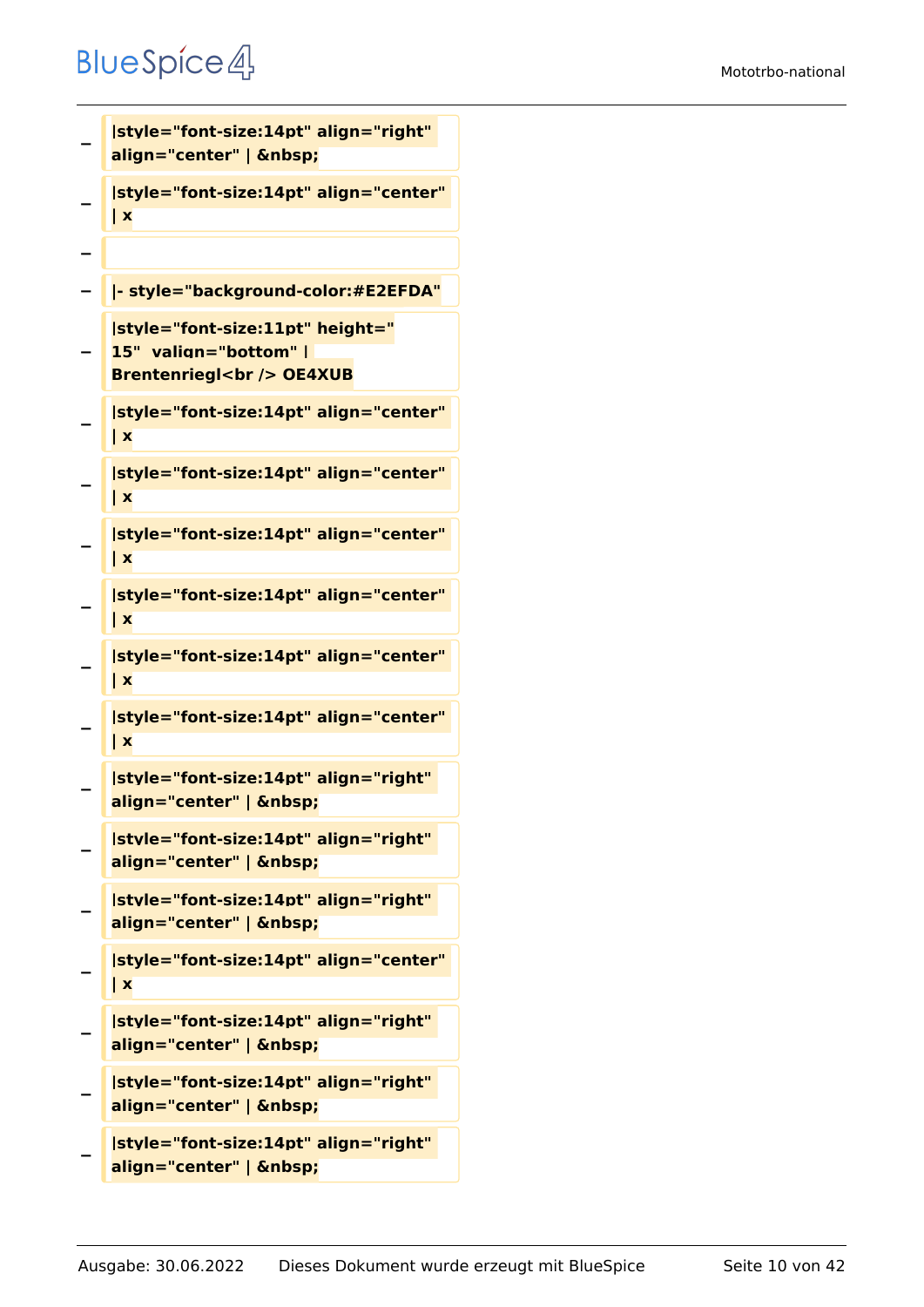```
−
   |style="font-size:14pt" align="right" 
   align="center" |  
−
   |style="font-size:14pt" align="center" 
   | x
−
  − |- style="background-color:#E2EFDA"
−
   |style="font-size:11pt" height="
   15"  valign="bottom" | 
   Brentenriegl<br /> OE4XUB
−
   |style="font-size:14pt" align="center" 
   | x
−
   |style="font-size:14pt" align="center" 
   | x
−
   |style="font-size:14pt" align="center" 
   | x
−
   |style="font-size:14pt" align="center" 
   | x
−
   |style="font-size:14pt" align="center" 
   | x
−
   |style="font-size:14pt" align="center" 
   | x
−
   |style="font-size:14pt" align="right" 
   align="center" |  
−
   |style="font-size:14pt" align="right" 
   align="center" |  
−
   |style="font-size:14pt" align="right" 
   align="center" |  
−
   |style="font-size:14pt" align="center" 
   | x
−
   |style="font-size:14pt" align="right" 
   align="center" |  
−
   |style="font-size:14pt" align="right" 
   align="center" |  
−
   |style="font-size:14pt" align="right" 
   align="center" |
```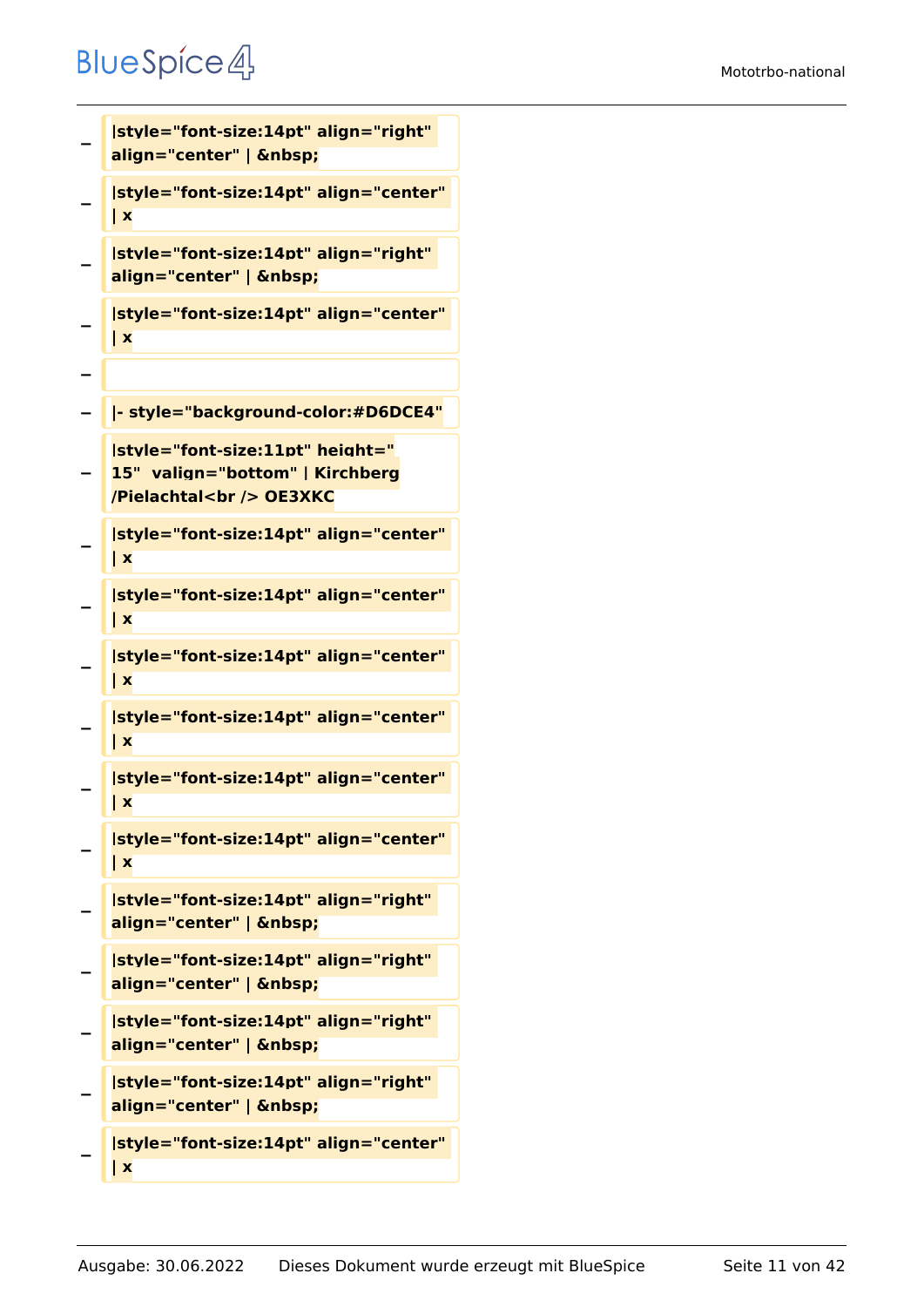```
−
   |style="font-size:14pt" align="right" 
   align="center" |  
−
   |style="font-size:14pt" align="center" 
   | x
−
   |style="font-size:14pt" align="right" 
   align="center" |  
−
   |style="font-size:14pt" align="center" 
   | x
−
  − |- style="background-color:#D6DCE4"
−
   |style="font-size:11pt" height="
   15"  valign="bottom" | Kirchberg
   /Pielachtal<br /> OE3XKC
−
   |style="font-size:14pt" align="center" 
   | x
−
   |style="font-size:14pt" align="center" 
   | x
−
   |style="font-size:14pt" align="center" 
   | x
−
   |style="font-size:14pt" align="center" 
   | x
−
   |style="font-size:14pt" align="center" 
   | x
−
   |style="font-size:14pt" align="center" 
   | x
−
   |style="font-size:14pt" align="right" 
   align="center" |  
−
   |style="font-size:14pt" align="right" 
   align="center" |  
−
   |style="font-size:14pt" align="right" 
   align="center" |  
−
   |style="font-size:14pt" align="right" 
   align="center" |  
−
   |style="font-size:14pt" align="center" 
   | x
```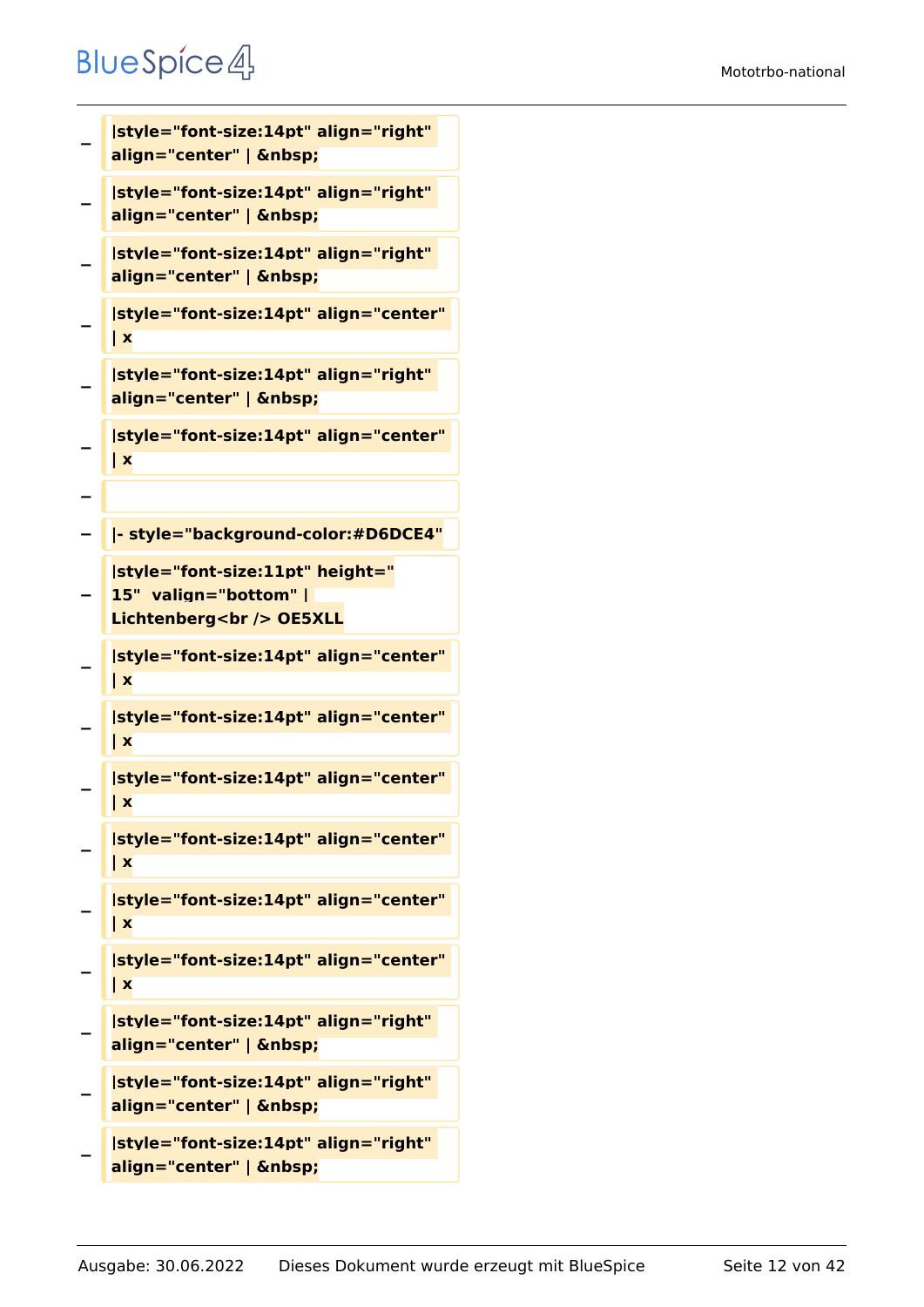```
−
   |style="font-size:14pt" align="right" 
   align="center" |  
−
   |style="font-size:14pt" align="right" 
   align="center" |  
−
   |style="font-size:14pt" align="right" 
   align="center" |  
−
   |style="font-size:14pt" align="center" 
   | x
−
   |style="font-size:14pt" align="right" 
   align="center" |  
−
   |style="font-size:14pt" align="center" 
   | x
−
  − |- style="background-color:#D6DCE4"
−
   |style="font-size:11pt" height="
   15"  valign="bottom" | 
   Lichtenberg<br />
OE5XLL
−
   |style="font-size:14pt" align="center" 
   | x
−
   |style="font-size:14pt" align="center" 
   | x
−
   |style="font-size:14pt" align="center" 
   | x
−
   |style="font-size:14pt" align="center" 
   | x
−
   |style="font-size:14pt" align="center" 
   | x
−
   |style="font-size:14pt" align="center" 
   | x
−
   |style="font-size:14pt" align="right" 
   align="center" |  
−
   |style="font-size:14pt" align="right" 
   align="center" |  
−
   |style="font-size:14pt" align="right"
```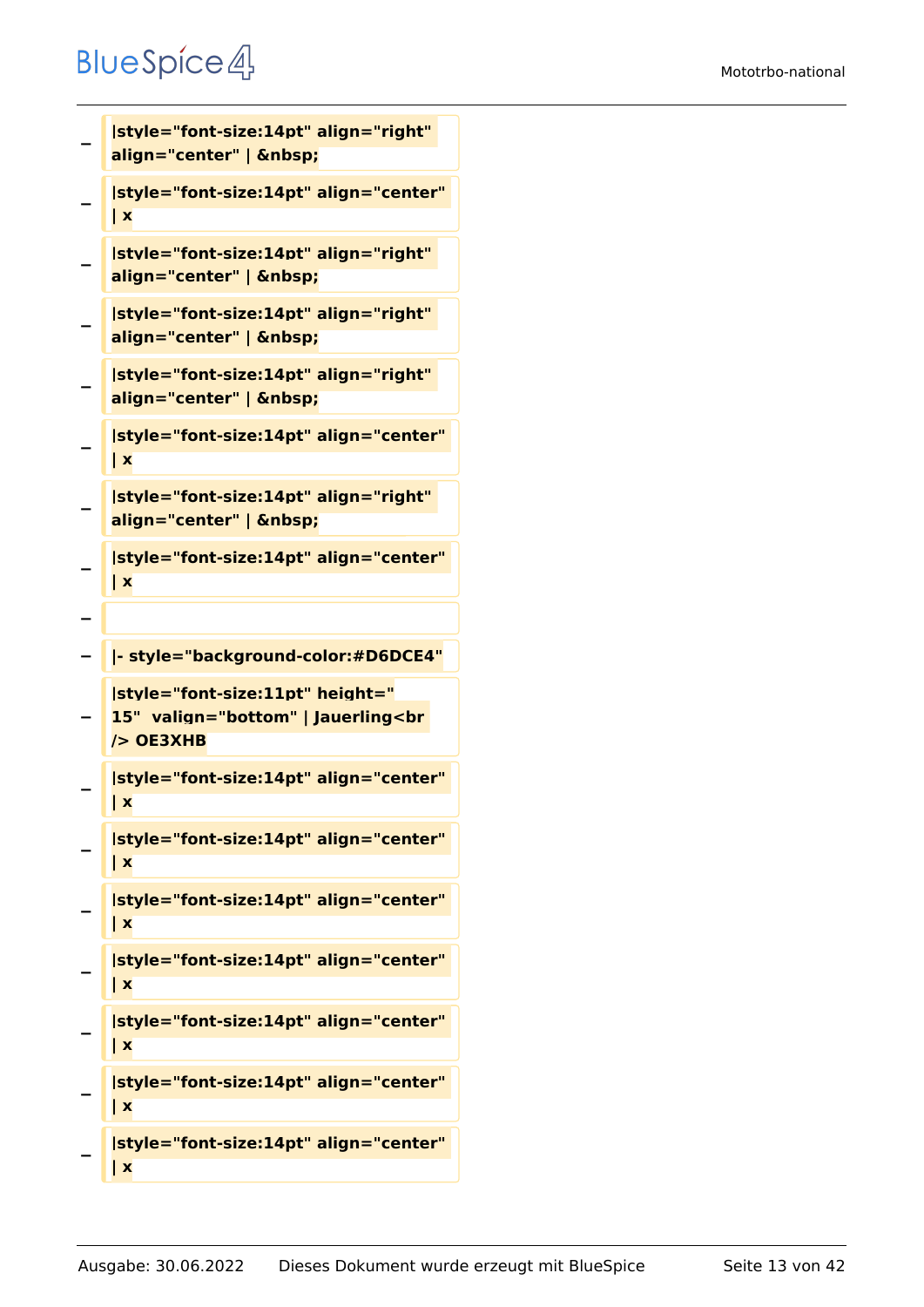```
−
   |style="font-size:14pt" align="right" 
   align="center" |  
−
   |style="font-size:14pt" align="center" 
   | x
−
   |style="font-size:14pt" align="right" 
   align="center" |  
−
   |style="font-size:14pt" align="right" 
   align="center" |  
−
   |style="font-size:14pt" align="right" 
   align="center" |  
−
   |style="font-size:14pt" align="center" 
   | x
−
   |style="font-size:14pt" align="right" 
   align="center" |  
−
   |style="font-size:14pt" align="center" 
   | x
−
− |- style="background-color:#D6DCE4"
−
   |style="font-size:11pt" height="
   15"  valign="bottom" | Jauerling<br 
   /> OE3XHB
−
   |style="font-size:14pt" align="center" 
   | x
−
   |style="font-size:14pt" align="center" 
   | x
−
   |style="font-size:14pt" align="center" 
   | x
−
   |style="font-size:14pt" align="center" 
   | x
−
   |style="font-size:14pt" align="center" 
   | x
−
   |style="font-size:14pt" align="center" 
   | x
−
   |style="font-size:14pt" align="center" 
   | x
```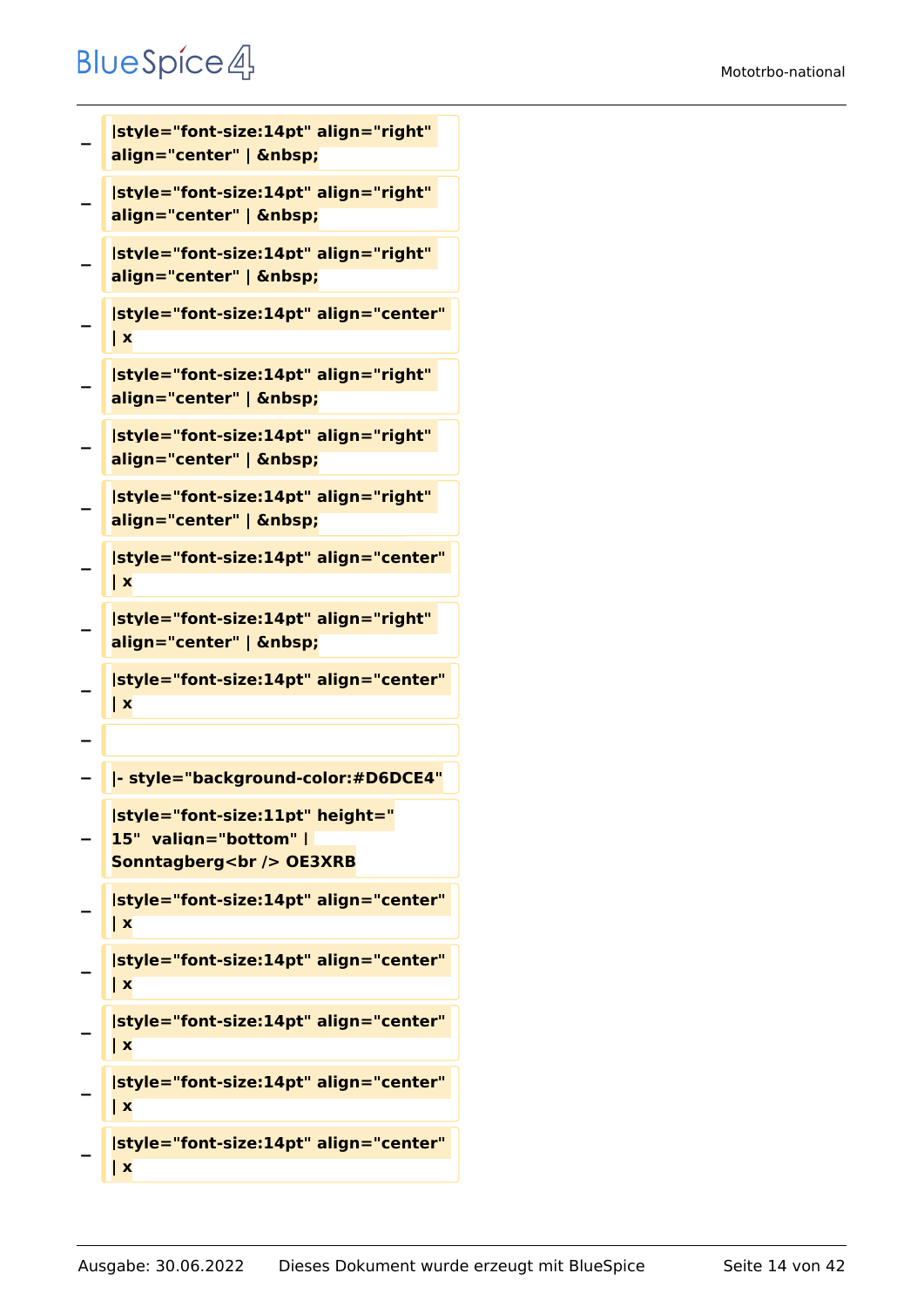```
−
   |style="font-size:14pt" align="right" 
   align="center" |  
−
   |style="font-size:14pt" align="right" 
   align="center" |  
−
   |style="font-size:14pt" align="right" 
   align="center" |  
−
   |style="font-size:14pt" align="center" 
   | x
−
   |style="font-size:14pt" align="right" 
   align="center" |  
−
   |style="font-size:14pt" align="right" 
   align="center" |  
−
   |style="font-size:14pt" align="right" 
   align="center" |  
−
   |style="font-size:14pt" align="center" 
   | x
−
   |style="font-size:14pt" align="right" 
   align="center" |  
−
   |style="font-size:14pt" align="center" 
   | x
−
  − |- style="background-color:#D6DCE4"
−
   |style="font-size:11pt" height="
   15"  valign="bottom" | 
   Sonntagberg<br />
OE3XRB
−
   |style="font-size:14pt" align="center" 
   | x
−
   |style="font-size:14pt" align="center" 
   | x
−
   |style="font-size:14pt" align="center" 
   | x
−
   |style="font-size:14pt" align="center" 
   | x
−
   |style="font-size:14pt" align="center" 
   | x
```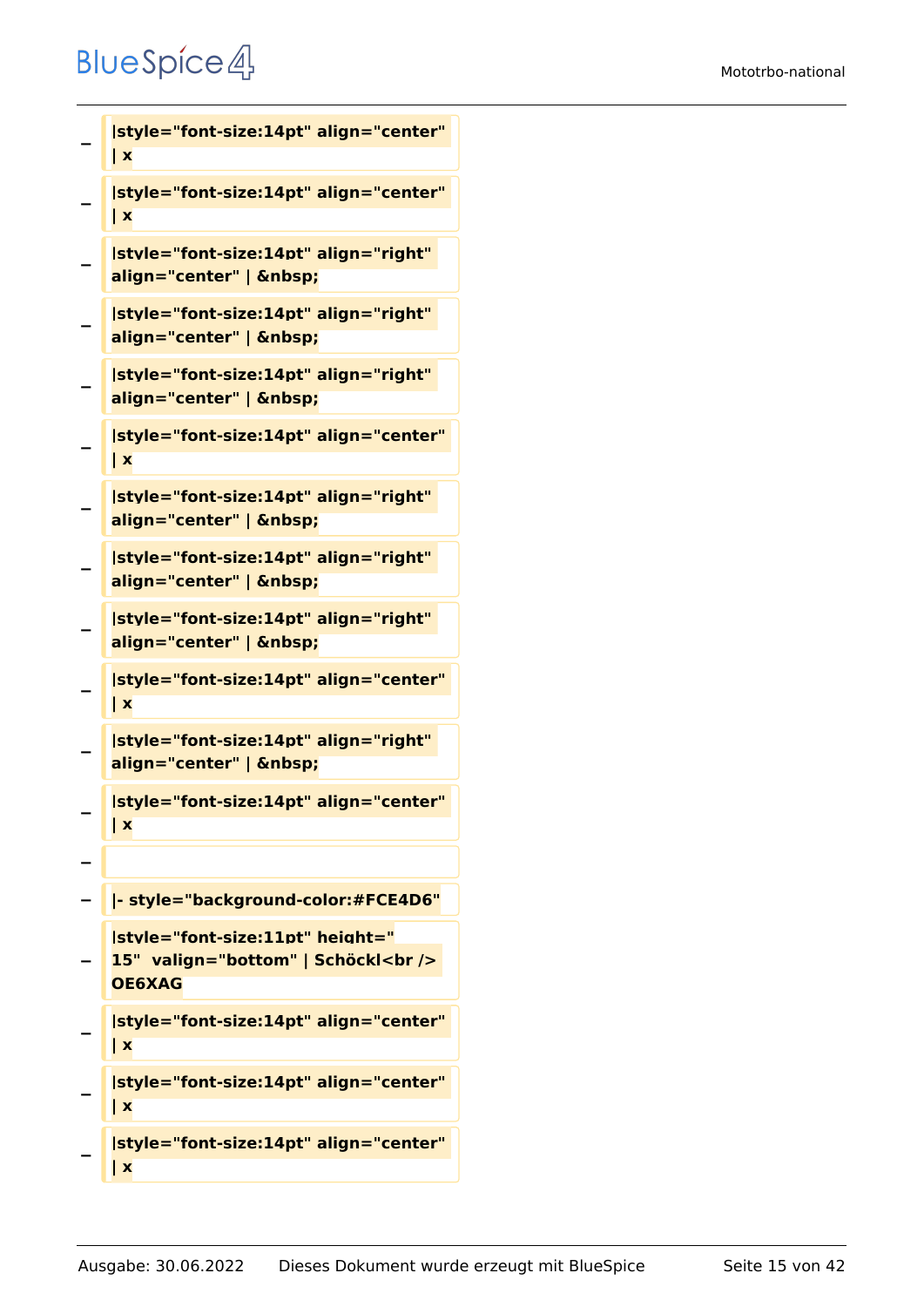```
−
   |style="font-size:14pt" align="center" 
   | x
−
   |style="font-size:14pt" align="center" 
   | x
−
   |style="font-size:14pt" align="right" 
   align="center" |  
−
   |style="font-size:14pt" align="right" 
   align="center" |  
−
   |style="font-size:14pt" align="right" 
   align="center" |  
−
   |style="font-size:14pt" align="center" 
   | x
−
   |style="font-size:14pt" align="right" 
   align="center" |  
−
   |style="font-size:14pt" align="right" 
   align="center" |  
−
   |style="font-size:14pt" align="right" 
   align="center" |  
−
   |style="font-size:14pt" align="center" 
   | x
−
   |style="font-size:14pt" align="right" 
   align="center" |  
−
   |style="font-size:14pt" align="center" 
   | x
−
− |- style="background-color:#FCE4D6"
−
   |style="font-size:11pt" height="
   15"  valign="bottom" | Schöckl<br /> 
   OE6XAG
−
   |style="font-size:14pt" align="center" 
   | x
−
   |style="font-size:14pt" align="center" 
   | x
```

```
−
   |style="font-size:14pt" align="center" 
   | x
```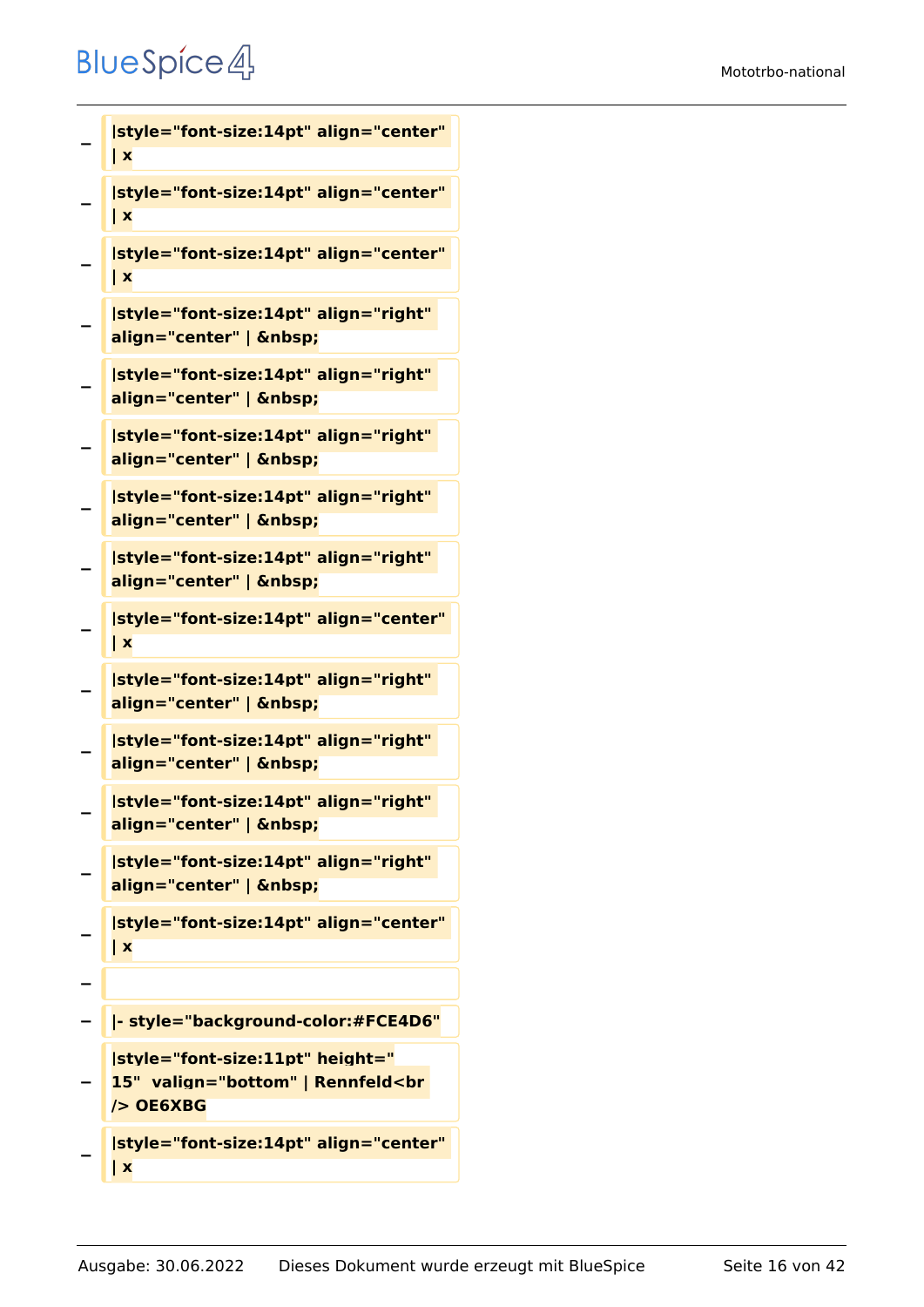```
−
   |style="font-size:14pt" align="center" 
   | x
−
   |style="font-size:14pt" align="center" 
   | x
−
   |style="font-size:14pt" align="center" 
   | x
−
   |style="font-size:14pt" align="right" 
   align="center" |  
−
   |style="font-size:14pt" align="right" 
   align="center" |  
−
   |style="font-size:14pt" align="right" 
   align="center" |  
−
   |style="font-size:14pt" align="right" 
   align="center" |  
−
   |style="font-size:14pt" align="right" 
   align="center" |  
−
   |style="font-size:14pt" align="center" 
   | x
−
   |style="font-size:14pt" align="right" 
   align="center" |  
−
   |style="font-size:14pt" align="right" 
   align="center" |  
−
   |style="font-size:14pt" align="right" 
   align="center" |  
−
   |style="font-size:14pt" align="right" 
   align="center" |  
−
   |style="font-size:14pt" align="center" 
   | x
−
  − |- style="background-color:#FCE4D6"
−
   |style="font-size:11pt" height="
   15"  valign="bottom" | Rennfeld<br 
   /> OE6XBG
```
**− |style="font-size:14pt" align="center" | x**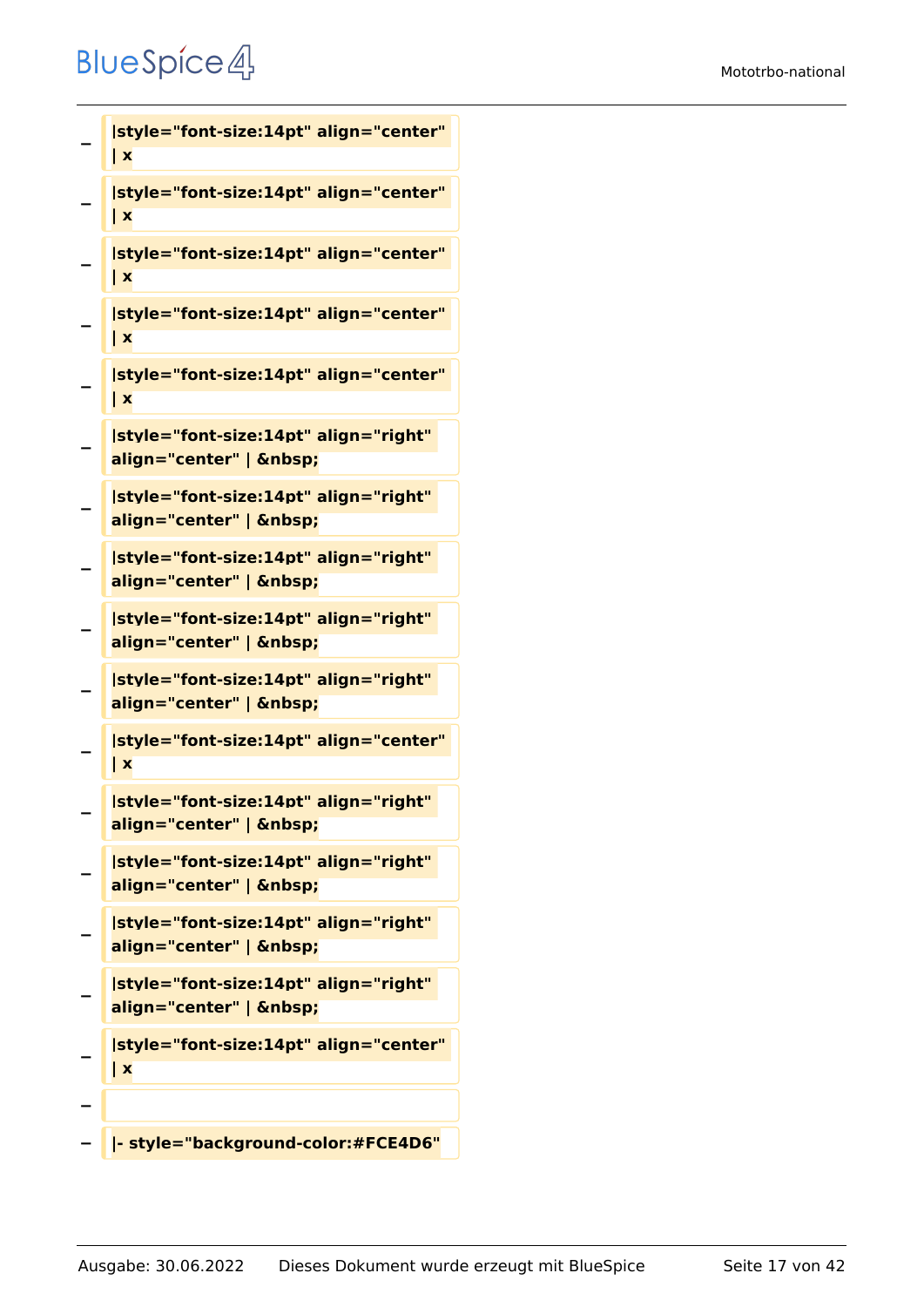```
−
   | x
−
   |style="font-size:14pt" align="center" 
   | x
−
   |style="font-size:14pt" align="center" 
   | x
−
   |style="font-size:14pt" align="center" 
   | x
−
   |style="font-size:14pt" align="center" 
   | x
−
   |style="font-size:14pt" align="right" 
   align="center" |  
−
   |style="font-size:14pt" align="right" 
   align="center" |  
−
   |style="font-size:14pt" align="right" 
   align="center" |  
−
   |style="font-size:14pt" align="right" 
   align="center" |  
−
   |style="font-size:14pt" align="right" 
   align="center" |  
−
   |style="font-size:14pt" align="center" 
   | x
−
   |style="font-size:14pt" align="right" 
   align="center" | &nbsp:
−
   |style="font-size:14pt" align="right" 
   align="center" |  
−
   |style="font-size:14pt" align="right" 
   align="center" |  
−
   |style="font-size:14pt" align="right" 
   align="center" |  
−
   |style="font-size:14pt" align="center" 
   | x
−
```
**|style="font-size:14pt" align="center"** 

**− |- style="background-color:#FCE4D6"**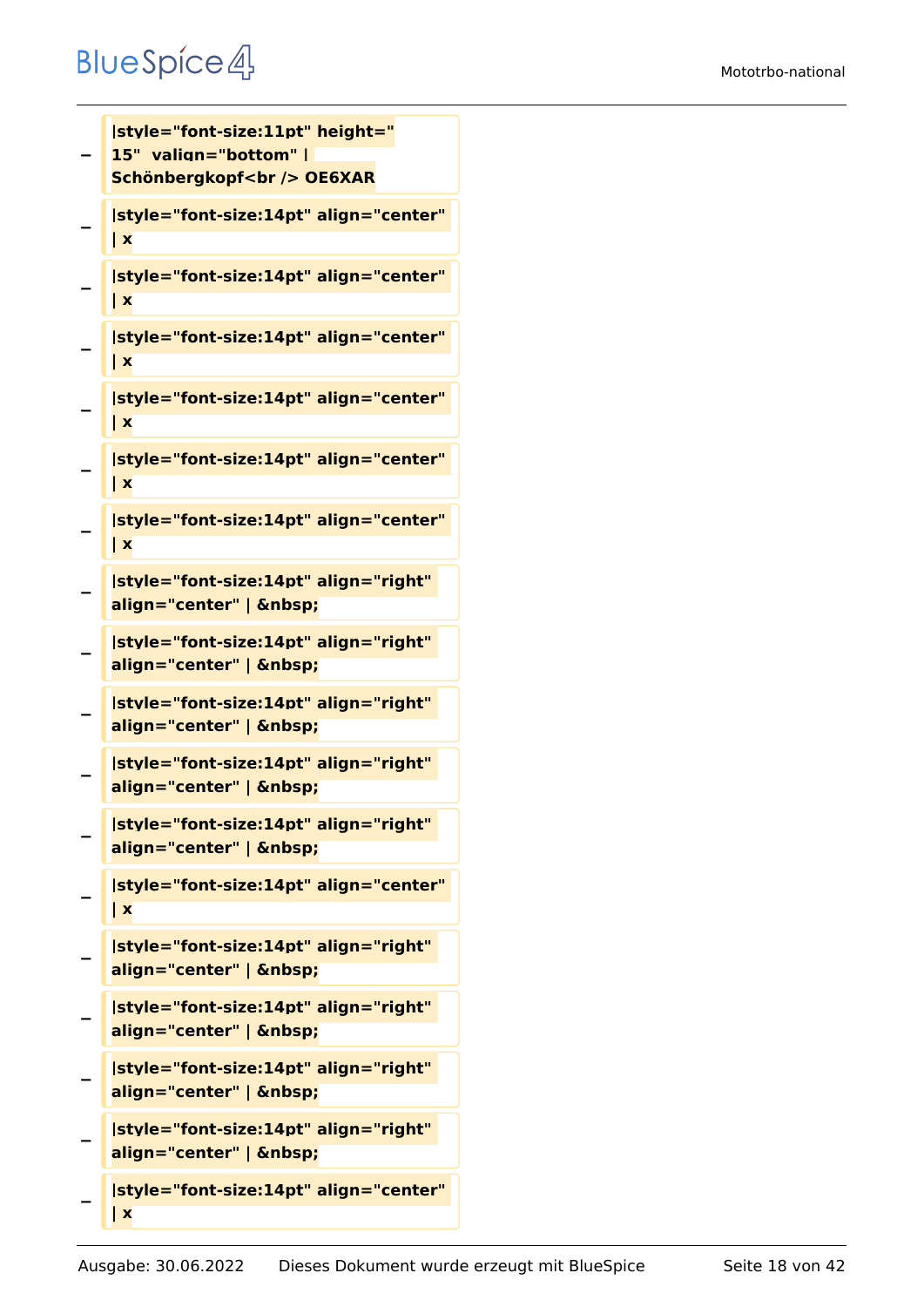#### Mototrbo-national

```
−
   |style="font-size:11pt" height="
   15"  valign="bottom" | 
   Schönbergkopf<br />
OE6XAR
−
   |style="font-size:14pt" align="center" 
   | x
−
   |style="font-size:14pt" align="center" 
   | x
−
   |style="font-size:14pt" align="center" 
   | x
−
   |style="font-size:14pt" align="center" 
   | x
−
   |style="font-size:14pt" align="center" 
   | x
−
   |style="font-size:14pt" align="center" 
   | x
−
   |style="font-size:14pt" align="right" 
   align="center" |  
−
   |style="font-size:14pt" align="right" 
   align="center" |  
−
   |style="font-size:14pt" align="right" 
   align="center" |  
−
   |style="font-size:14pt" align="right" 
   align="center" |  
−
   |style="font-size:14pt" align="right" 
   align="center" |  
−
   |style="font-size:14pt" align="center" 
   | x
−
   |style="font-size:14pt" align="right" 
   align="center" |  
−
   |style="font-size:14pt" align="right" 
   align="center" | &nbsp:
−
   |style="font-size:14pt" align="right" 
   align="center" |  
−
   |style="font-size:14pt" align="right" 
   align="center" |  
−
   |style="font-size:14pt" align="center" 
   | x
```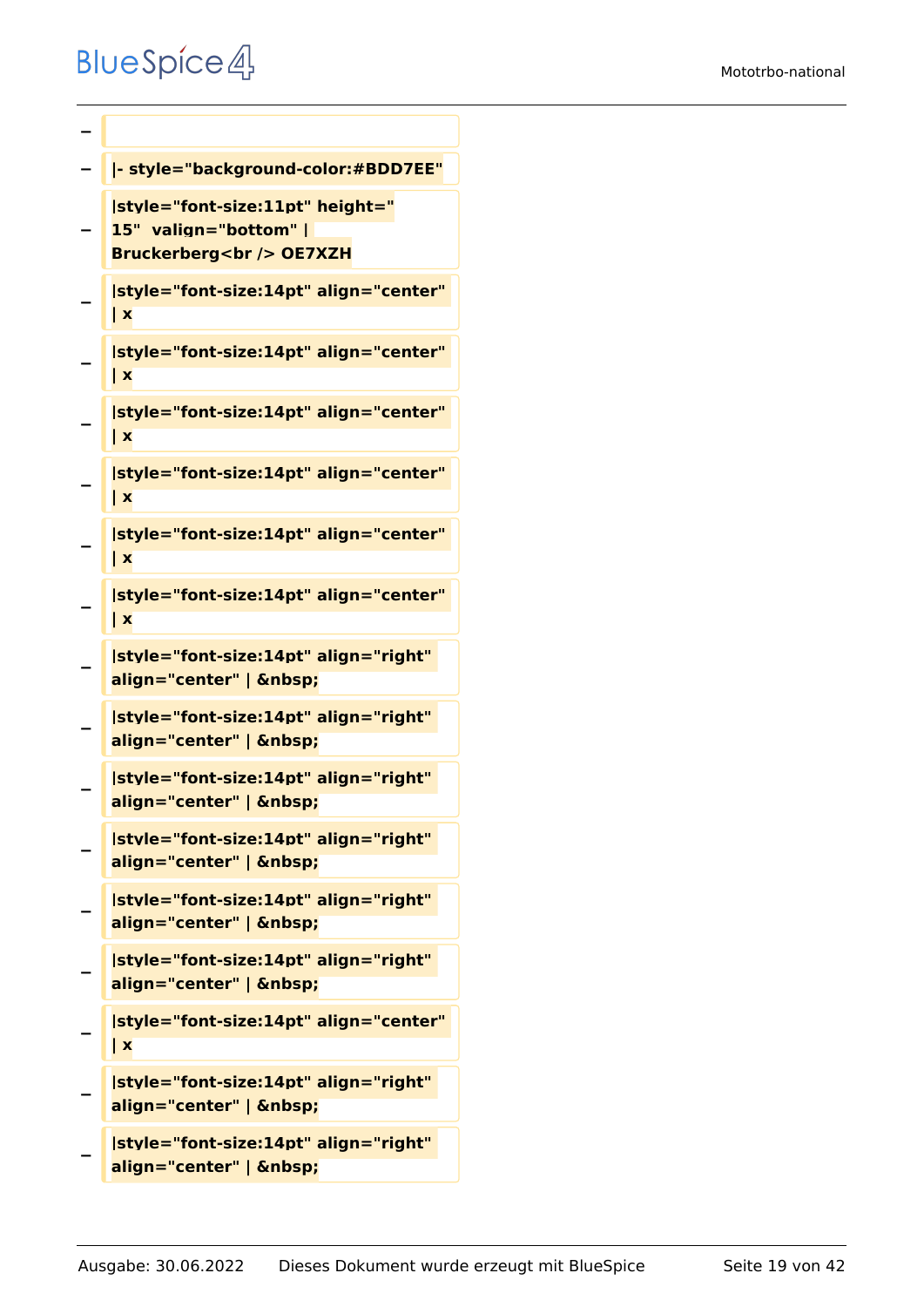```
−
− |- style="background-color:#BDD7EE"
−
   |style="font-size:11pt" height="
   15"  valign="bottom" | 
   Bruckerberg<br /> OE7XZH
−
   |style="font-size:14pt" align="center" 
   | x
−
   |style="font-size:14pt" align="center" 
   | x
−
   |style="font-size:14pt" align="center" 
   | x
−
   |style="font-size:14pt" align="center" 
   | x
−
   |style="font-size:14pt" align="center" 
   | x
−
   |style="font-size:14pt" align="center" 
   | x
−
   |style="font-size:14pt" align="right" 
   align="center" |  
−
   |style="font-size:14pt" align="right" 
   align="center" |  
−
   |style="font-size:14pt" align="right" 
   align="center" |  
−
   |style="font-size:14pt" align="right" 
   align="center" |  
−
   |style="font-size:14pt" align="right" 
   align="center" |  
−
   |style="font-size:14pt" align="right" 
   align="center" |  
−
   |style="font-size:14pt" align="center" 
   | x
−
   |style="font-size:14pt" align="right" 
   align="center" |
```

```
−
   |style="font-size:14pt" align="right" 
   align="center" |
```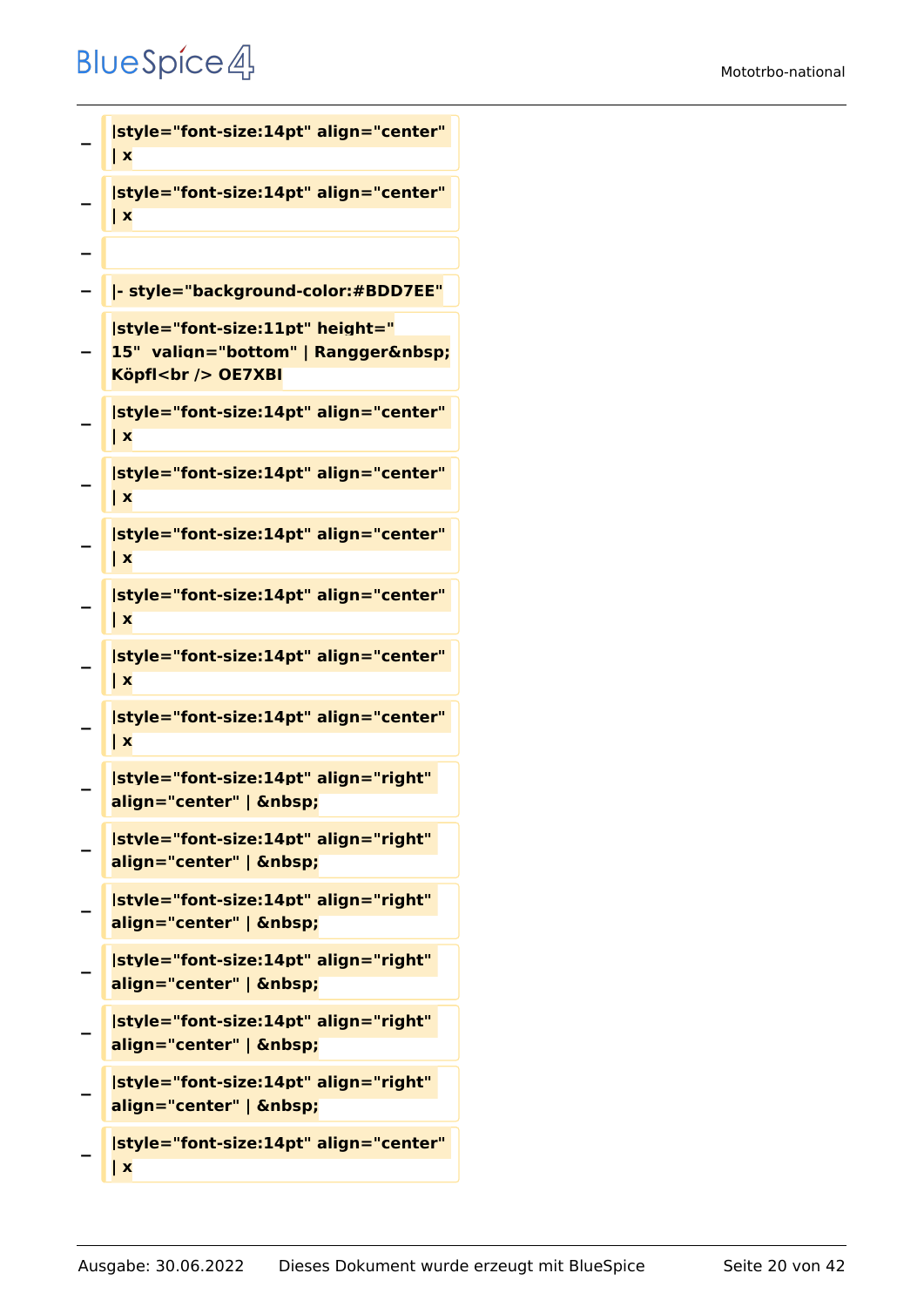```
−
   |style="font-size:14pt" align="center" 
   | x
−
   |style="font-size:14pt" align="center" 
   | x
−
  − |- style="background-color:#BDD7EE"
−
   |style="font-size:11pt" height="
   15" valign="bottom" | Rangger 
   Köpfl<br /> OE7XBI
−
   |style="font-size:14pt" align="center" 
   | x
−
   |style="font-size:14pt" align="center" 
   | x
−
   |style="font-size:14pt" align="center" 
   | x
−
   |style="font-size:14pt" align="center" 
   | x
−
   |style="font-size:14pt" align="center" 
   | x
−
   |style="font-size:14pt" align="center" 
   | x
−
   |style="font-size:14pt" align="right" 
   align="center" |  
−
   |style="font-size:14pt" align="right" 
   align="center" |  
−
   |style="font-size:14pt" align="right" 
   align="center" |  
−
   |style="font-size:14pt" align="right" 
   align="center" |  
−
   |style="font-size:14pt" align="right" 
   align="center" |  
−
   |style="font-size:14pt" align="right" 
   align="center" |  
−
   |style="font-size:14pt" align="center" 
   | x
```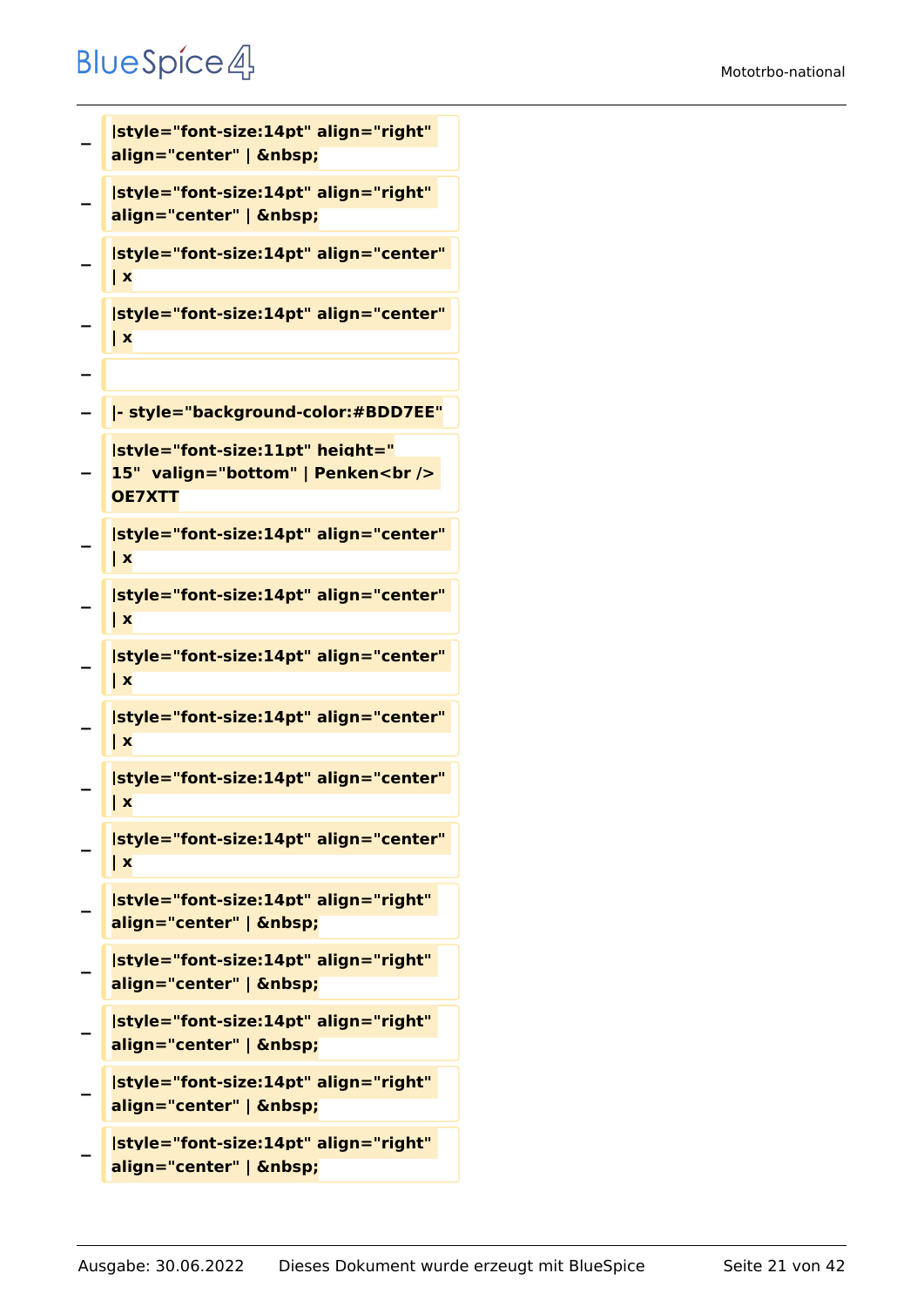```
−
   |style="font-size:14pt" align="right" 
   align="center" |  
−
   |style="font-size:14pt" align="right" 
   align="center" |  
−
   |style="font-size:14pt" align="center" 
   | x
−
   |style="font-size:14pt" align="center" 
   | x
−
  − |- style="background-color:#BDD7EE"
−
   |style="font-size:11pt" height="
   15"  valign="bottom" | Penken<br /> 
   OE7XTT
−
   |style="font-size:14pt" align="center" 
   | x
−
   |style="font-size:14pt" align="center" 
   | x
−
   |style="font-size:14pt" align="center" 
   | x
−
   |style="font-size:14pt" align="center" 
   | x
−
   |style="font-size:14pt" align="center" 
   | x
−
   |style="font-size:14pt" align="center" 
   | x
−
   |style="font-size:14pt" align="right" 
   align="center" |  
−
   |style="font-size:14pt" align="right" 
   align="center" |  
−
   |style="font-size:14pt" align="right" 
   align="center" |  
−
   |style="font-size:14pt" align="right" 
   align="center" |  
−
   |style="font-size:14pt" align="right"
```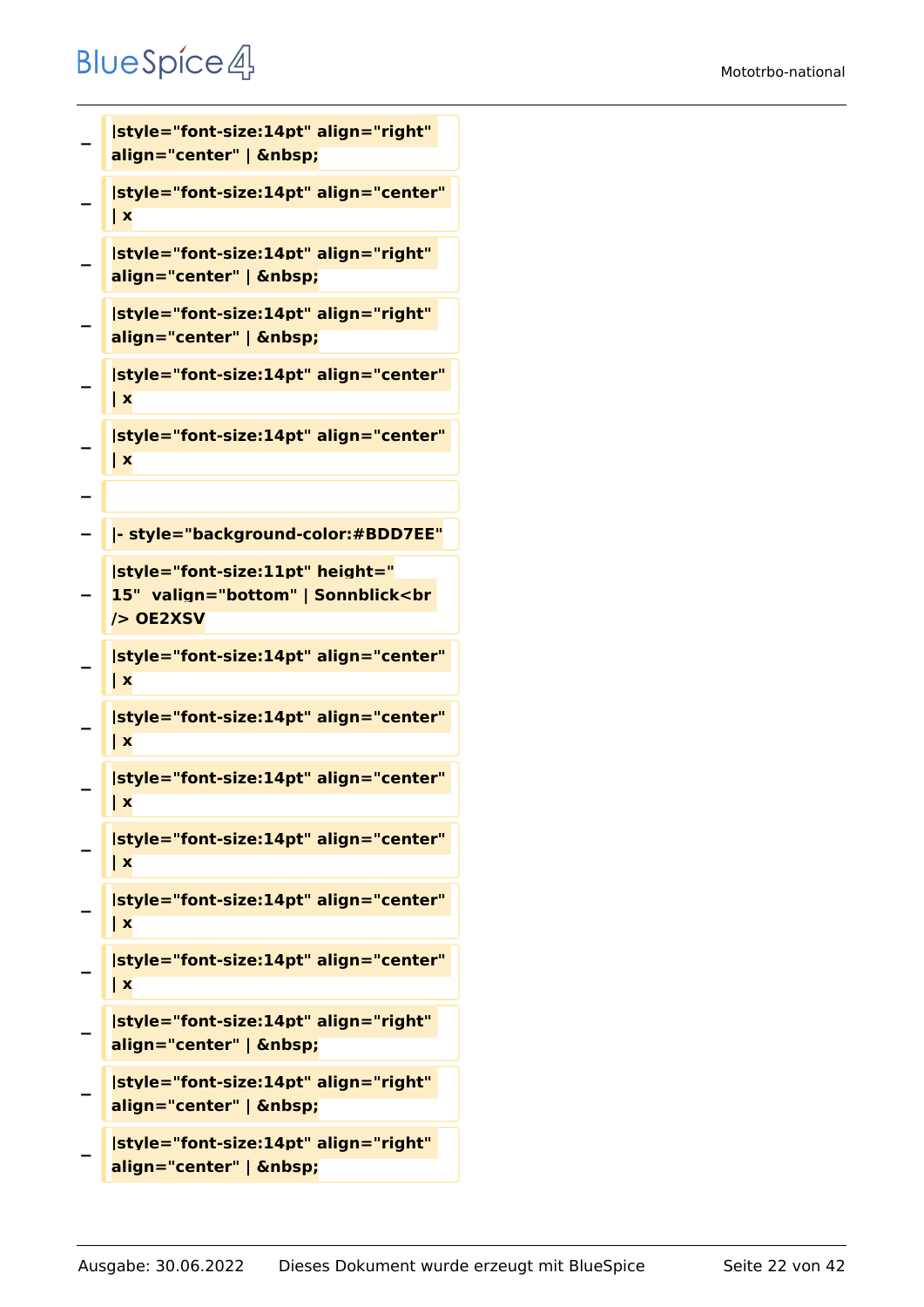```
−
   |style="font-size:14pt" align="right" 
   align="center" |  
−
   |style="font-size:14pt" align="center" 
   | x
−
   |style="font-size:14pt" align="right" 
   align="center" |  
−
   |style="font-size:14pt" align="right" 
   align="center" |  
−
   |style="font-size:14pt" align="center" 
   | x
−
   |style="font-size:14pt" align="center" 
   | x
−
  − |- style="background-color:#BDD7EE"
−
   |style="font-size:11pt" height="
   15"  valign="bottom" | Sonnblick<br 
   /> OE2XSV
−
   |style="font-size:14pt" align="center" 
   | x
−
   |style="font-size:14pt" align="center" 
   | x
−
   |style="font-size:14pt" align="center" 
   | x
−
   |style="font-size:14pt" align="center" 
   | x
−
   |style="font-size:14pt" align="center" 
   | x
−
   |style="font-size:14pt" align="center" 
   | x
−
   |style="font-size:14pt" align="right" 
   align="center" |  
−
   |style="font-size:14pt" align="right" 
   align="center" |  
−
   |style="font-size:14pt" align="right"
```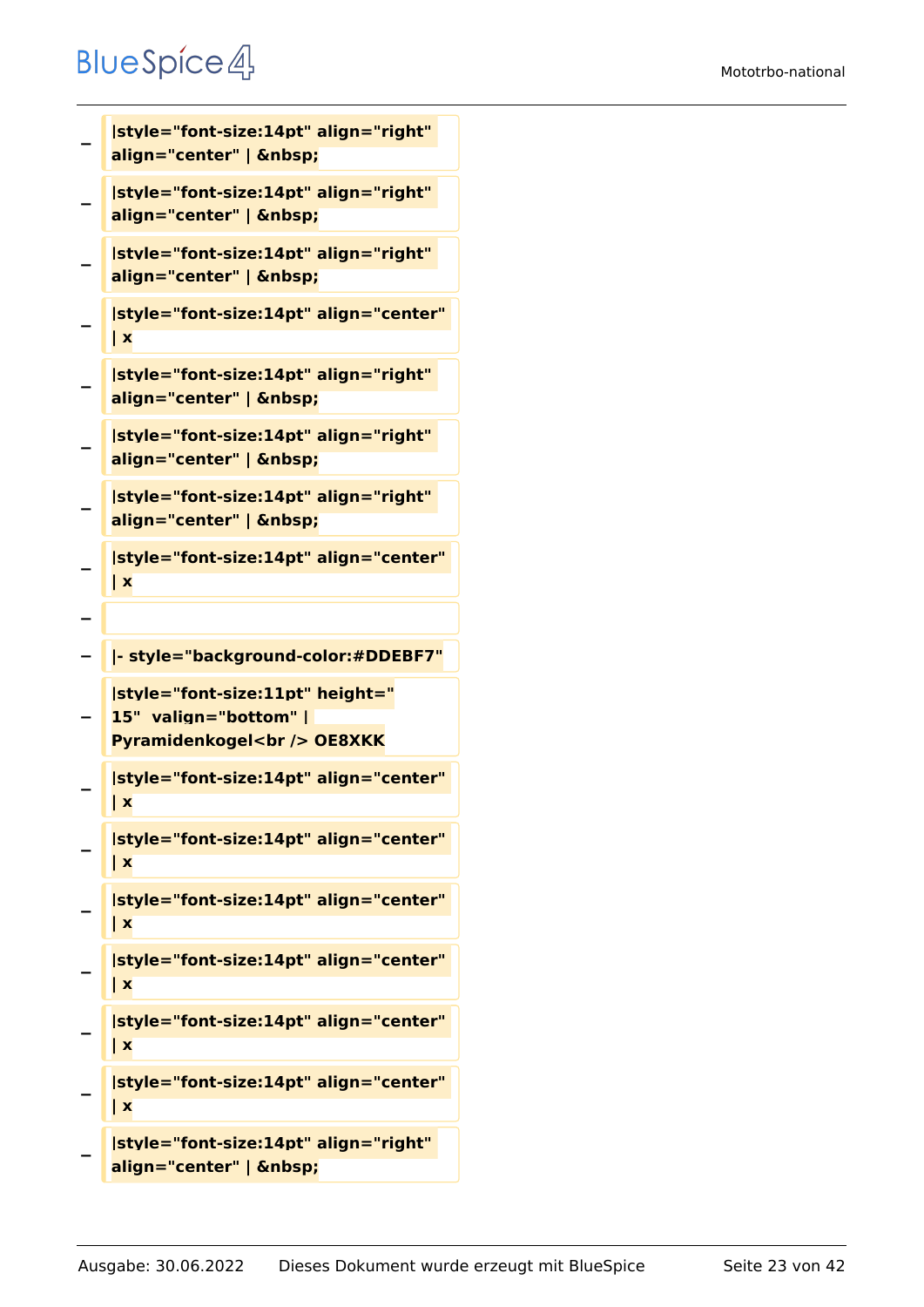```
−
   |style="font-size:14pt" align="right" 
   align="center" |  
−
   |style="font-size:14pt" align="right" 
   align="center" |  
−
   |style="font-size:14pt" align="right" 
   align="center" |  
−
   |style="font-size:14pt" align="center" 
   | x
−
   |style="font-size:14pt" align="right" 
   align="center" |  
−
   |style="font-size:14pt" align="right" 
   align="center" |  
−
   |style="font-size:14pt" align="right" 
   align="center" |  
−
   |style="font-size:14pt" align="center" 
   | x
−
  − |- style="background-color:#DDEBF7"
−
   |style="font-size:11pt" height="
   15"  valign="bottom" | 
   Pyramidenkogel<br /> OE8XKK
−
   |style="font-size:14pt" align="center" 
   | x
−
   |style="font-size:14pt" align="center" 
   | x
−
   |style="font-size:14pt" align="center" 
   | x
−
   |style="font-size:14pt" align="center" 
   | x
−
   |style="font-size:14pt" align="center" 
   | x
−
   |style="font-size:14pt" align="center" 
   | x
−
   |style="font-size:14pt" align="right"
```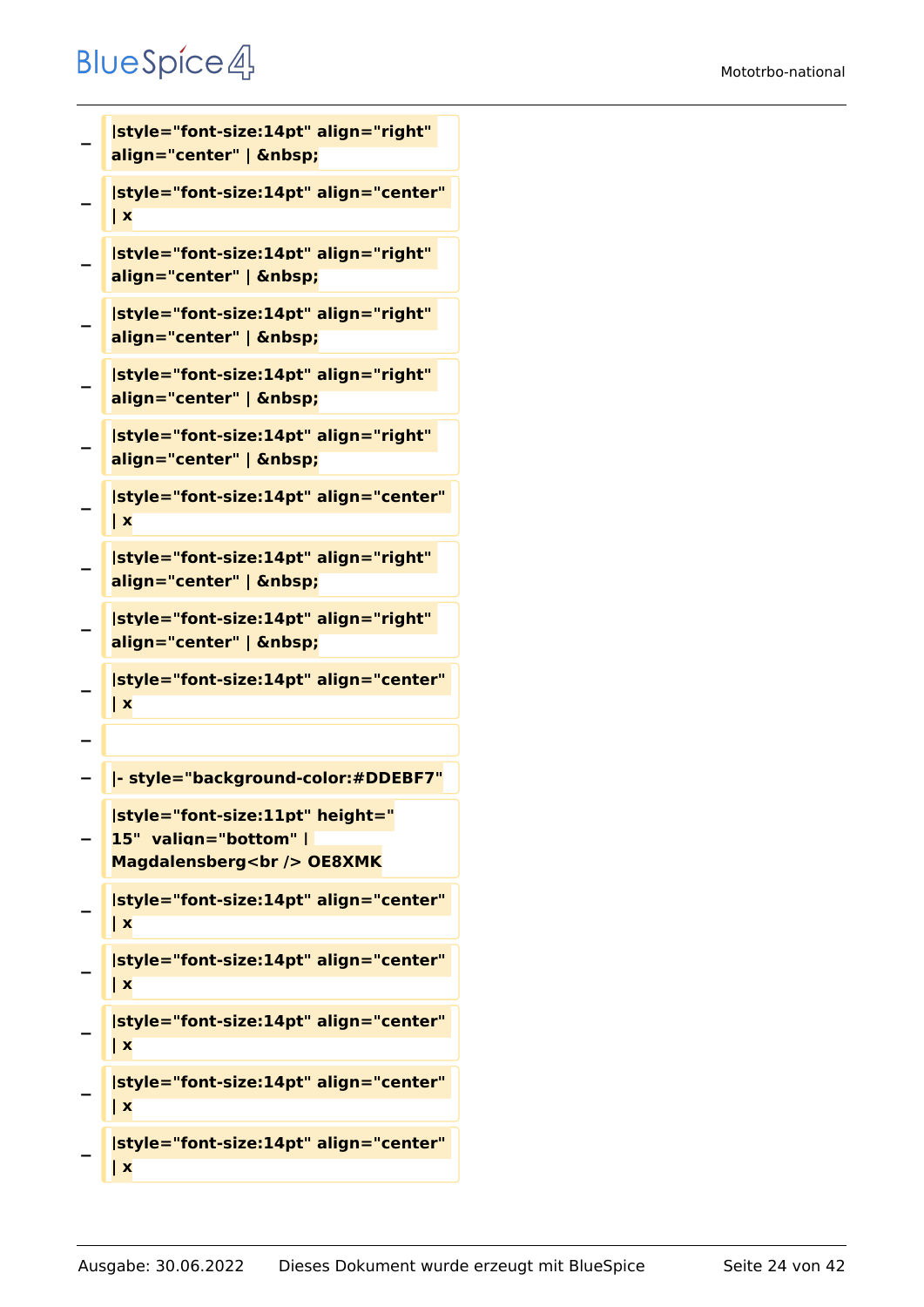```
−
   |style="font-size:14pt" align="right" 
   align="center" |  
−
   |style="font-size:14pt" align="center" 
   | x
−
   |style="font-size:14pt" align="right" 
   align="center" |  
−
   |style="font-size:14pt" align="right" 
   align="center" |  
−
   |style="font-size:14pt" align="right" 
   align="center" |  
−
   |style="font-size:14pt" align="right" 
   align="center" |  
−
   |style="font-size:14pt" align="center" 
   | x
−
   |style="font-size:14pt" align="right" 
   align="center" |  
−
   |style="font-size:14pt" align="right" 
   align="center" |  
−
   |style="font-size:14pt" align="center" 
   | x
−
  − |- style="background-color:#DDEBF7"
−
   |style="font-size:11pt" height="
   15"  valign="bottom" | 
   Magdalensberg<br /> OE8XMK
−
   |style="font-size:14pt" align="center" 
   | x
−
   |style="font-size:14pt" align="center" 
   | x
−
   |style="font-size:14pt" align="center" 
   | x
−
   |style="font-size:14pt" align="center" 
   | x
−
   |style="font-size:14pt" align="center" 
   | x
```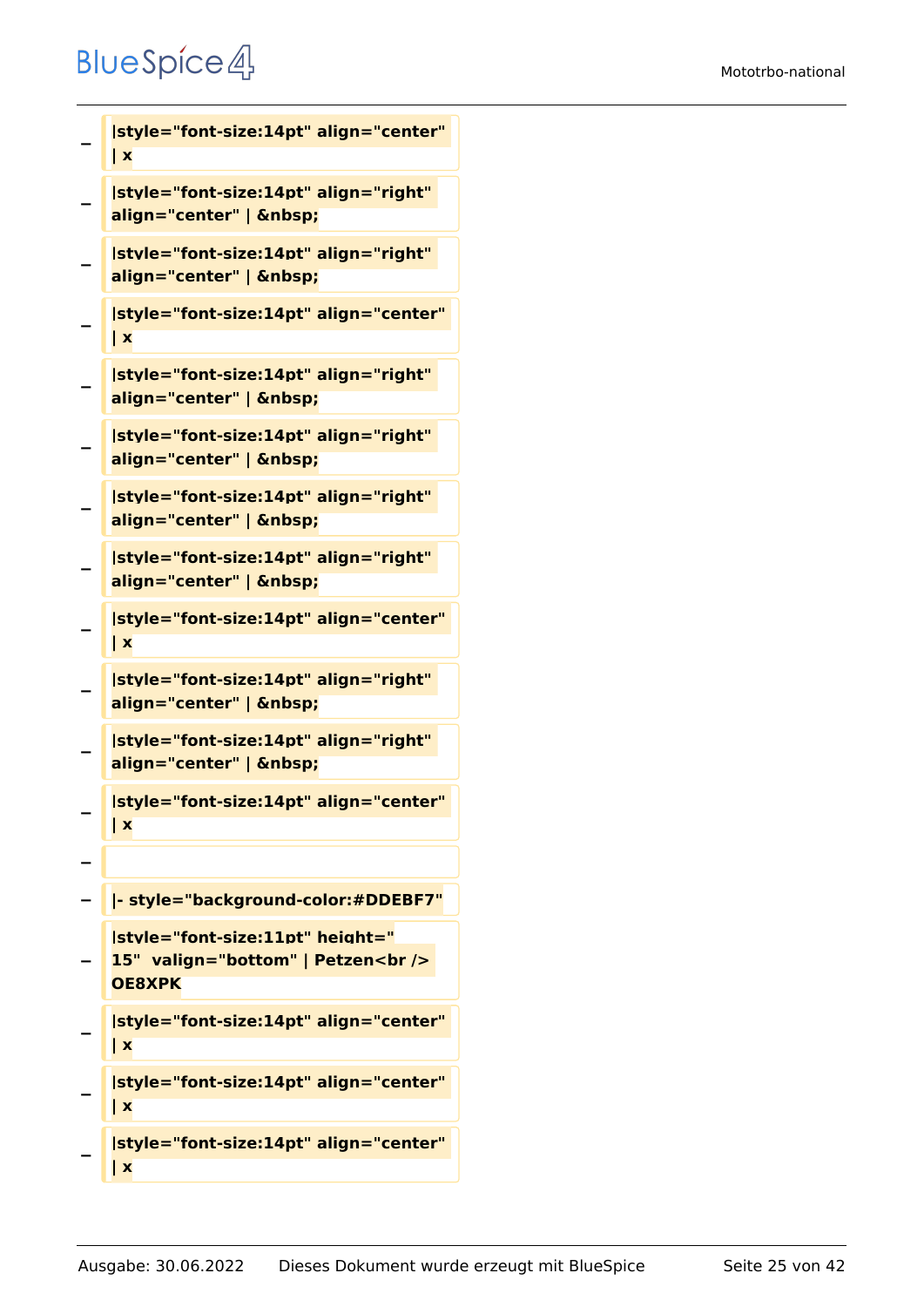**−**

**−**

**−**

**−**

**−**

**−**

**−**

**−**

**−**

**−**

**−**

**−**

**−**

**−**

**−**

```
| x
|style="font-size:14pt" align="right" 
align="center" |  
|style="font-size:14pt" align="right" 
align="center" |  
|style="font-size:14pt" align="center" 
| x
|style="font-size:14pt" align="right" 
align="center" |  
|style="font-size:14pt" align="right" 
align="center" |  
|style="font-size:14pt" align="right" 
align="center" |  
|style="font-size:14pt" align="right" 
align="center" |  
|style="font-size:14pt" align="center" 
| x
|style="font-size:14pt" align="right" 
align="center" |  
|style="font-size:14pt" align="right" 
align="center" |  
|style="font-size:14pt" align="center" 
| x
− |- style="background-color:#DDEBF7"
|style="font-size:11pt" height="
15"  valign="bottom" | Petzen<br /> 
OE8XPK
```
**|style="font-size:14pt" align="center"** 

**− |style="font-size:14pt" align="center" | x**

```
|style="font-size:14pt" align="center" 
| x
```

```
−
   |style="font-size:14pt" align="center" 
   | x
```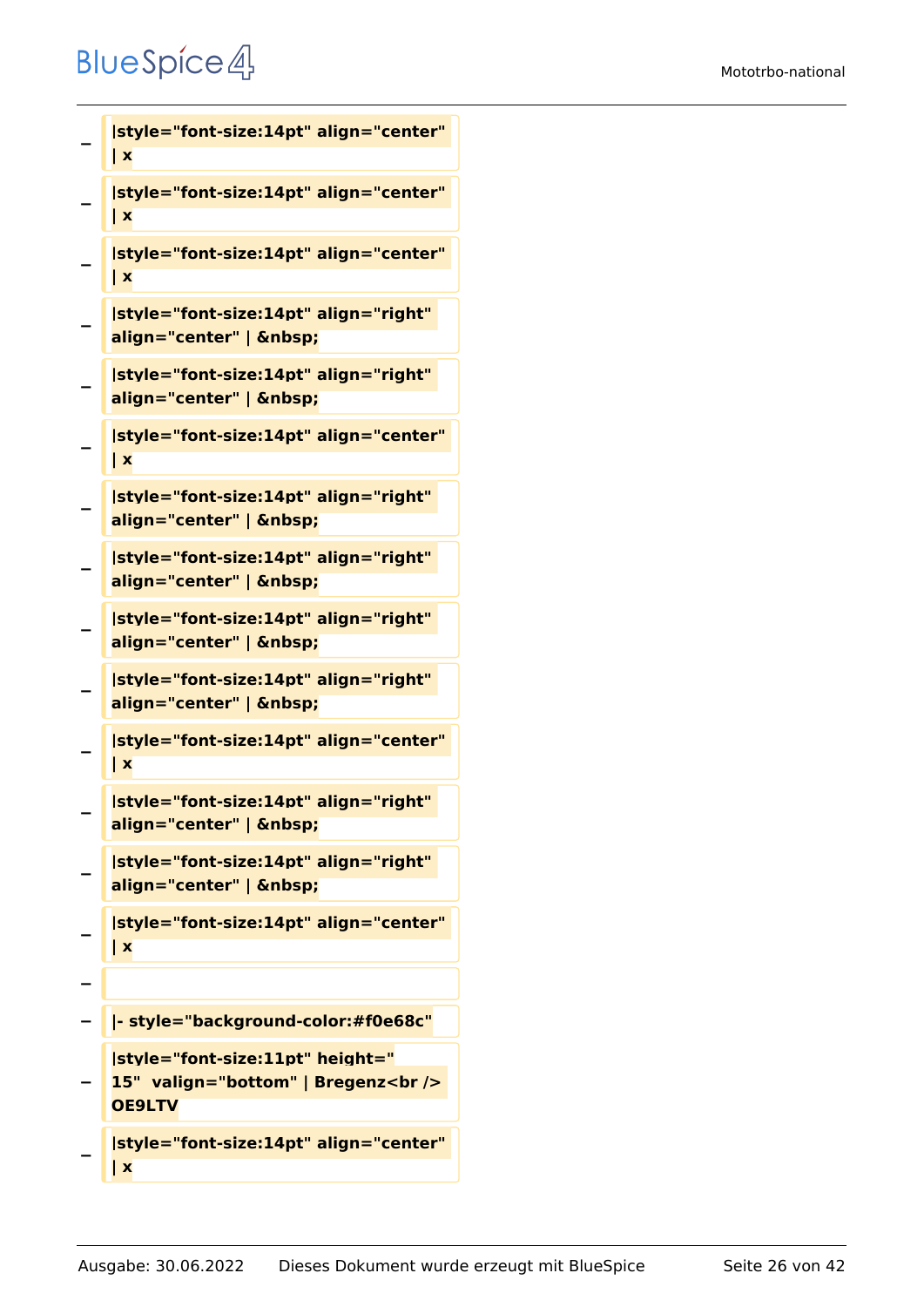```
−
   |style="font-size:14pt" align="center" 
   | x
−
   |style="font-size:14pt" align="center" 
   | x
−
   |style="font-size:14pt" align="center" 
   | x
−
   |style="font-size:14pt" align="right" 
   align="center" |  
−
   |style="font-size:14pt" align="right" 
   align="center" |  
−
   |style="font-size:14pt" align="center" 
   | x
−
   |style="font-size:14pt" align="right" 
   align="center" |  
−
   |style="font-size:14pt" align="right" 
   align="center" |  
−
   |style="font-size:14pt" align="right" 
   align="center" |  
−
   |style="font-size:14pt" align="right" 
   align="center" |  
−
   |style="font-size:14pt" align="center" 
   | x
−
   |style="font-size:14pt" align="right" 
   align="center" | &nbsp:
−
   |style="font-size:14pt" align="right" 
   align="center" |  
−
   |style="font-size:14pt" align="center" 
   | x
−
  − |- style="background-color:#f0e68c"
−
   |style="font-size:11pt" height="
   15"  valign="bottom" | Bregenz<br /> 
   OE9LTV
```
**− |style="font-size:14pt" align="center" | x**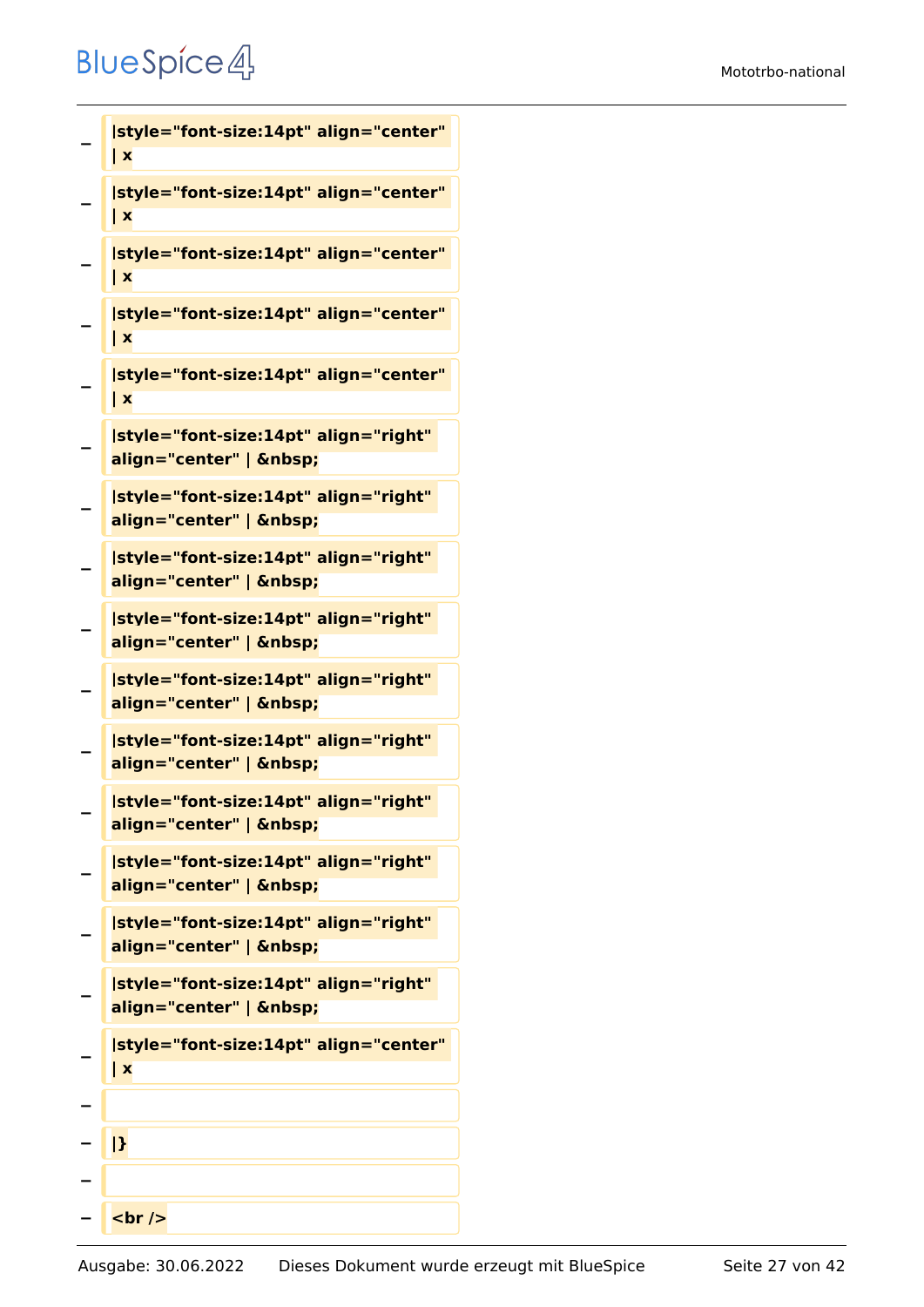**−**

**| x**

```
−
   |style="font-size:14pt" align="center" 
   | x
−
   |style="font-size:14pt" align="center" 
   | x
−
   |style="font-size:14pt" align="center" 
   | x
−
   |style="font-size:14pt" align="center" 
   | x
−
   |style="font-size:14pt" align="right" 
   align="center" |  
−
   |style="font-size:14pt" align="right" 
   align="center" |  
−
   |style="font-size:14pt" align="right" 
   align="center" |  
−
   |style="font-size:14pt" align="right" 
   align="center" |  
−
   |style="font-size:14pt" align="right" 
   align="center" |  
−
   |style="font-size:14pt" align="right" 
   align="center" |  
−
   |style="font-size:14pt" align="right" 
   align="center" |  
−
   |style="font-size:14pt" align="right" 
   align="center" |  
−
   |style="font-size:14pt" align="right" 
   align="center" |  
−
   |style="font-size:14pt" align="right" 
   align="center" |  
−
   |style="font-size:14pt" align="center" 
   | x
−
  − |}
−
   − <br />
```
**|style="font-size:14pt" align="center"**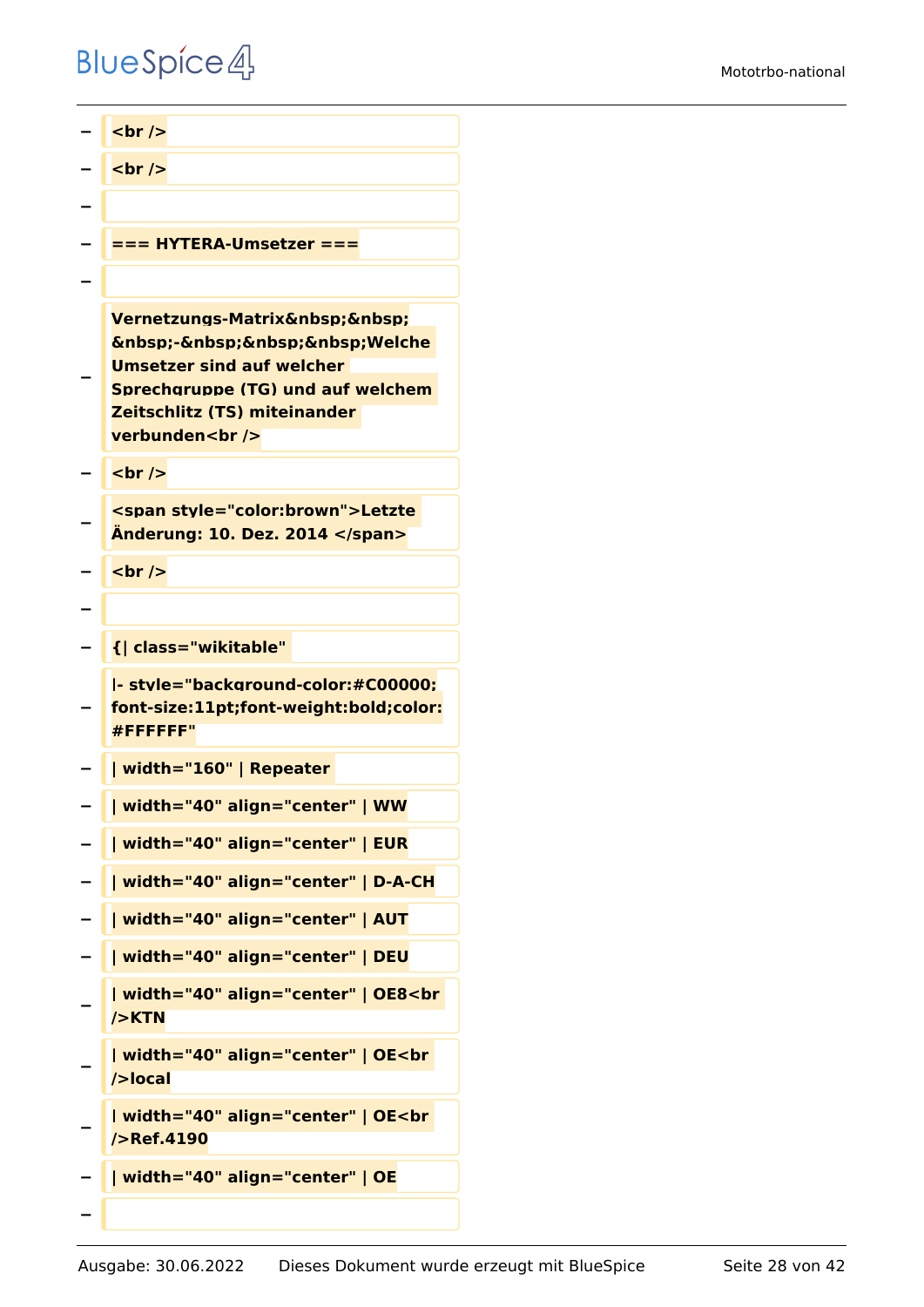```
<u></u> <br />
  <del>−</del> <u>k</del> k k k k k k k k k k k k k k k k k k k k k k k k k k k k k k k k k k k</u>
−
   − === HYTERA-Umsetzer ===
−
−
   Vernetzungs-Matrix  
   \&nbsp;-\&nbsp;\&nbsp;\&nbsp;Welche
   Umsetzer sind auf welcher 
   Sprechgruppe (TG) und auf welchem 
   Zeitschlitz (TS) miteinander 
   verbunden<br />
  <u></u> <br />
−
   <span style="color:brown">Letzte 
   Änderung: 10. Dez. 2014 </span>
   <u><del></del> <br /></u>
−
− {| class="wikitable" 
−
   |- style="background-color:#C00000;
   font-size:11pt;font-weight:bold;color:
   #FFFFFF"
− | width="160" | Repeater 
− | width="40" align="center" | WW
   − | width="40" align="center" | EUR
  − | width="40" align="center" | D-A-CH
− | width="40" align="center" | AUT
  − | width="40" align="center" | DEU
−
   | width="40" align="center" | OE8<br 
   />KTN
−
   | width="40" align="center" | OE<br 
   />local
−
   | width="40" align="center" | OE<br 
   />Ref.4190
  − | width="40" align="center" | OE
−
```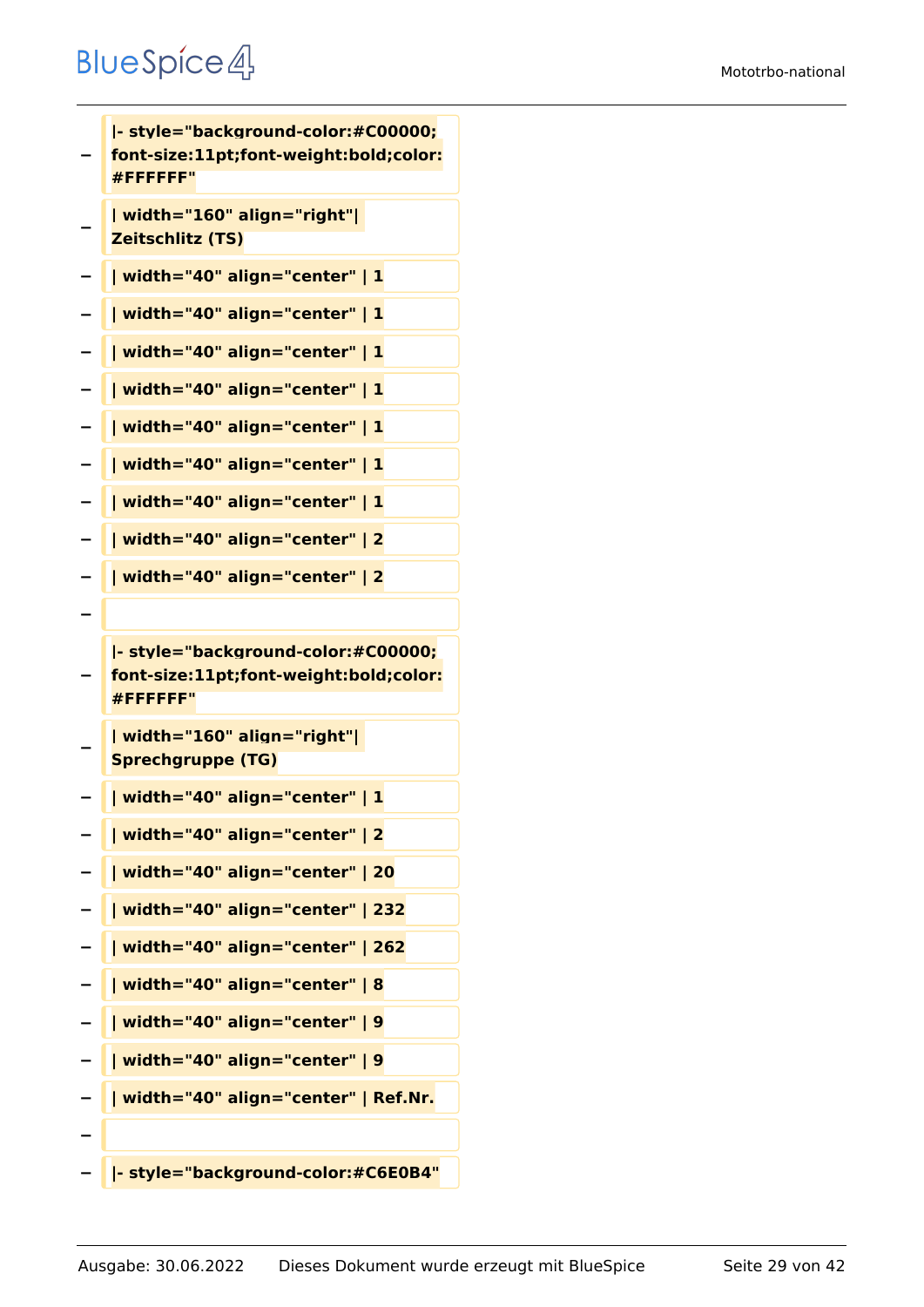**− |- style="background-color:#C00000; font-size:11pt;font-weight:bold;color: #FFFFFF" − | width="160" align="right"| Zeitschlitz (TS) − | width="40" align="center" | 1 − | width="40" align="center" | 1 − | width="40" align="center" | 1 − | width="40" align="center" | 1 − | width="40" align="center" | 1 − | width="40" align="center" | 1 − | width="40" align="center" | 1 − | width="40" align="center" | 2 − | width="40" align="center" | 2 − − |- style="background-color:#C00000; font-size:11pt;font-weight:bold;color: #FFFFFF" − | width="160" align="right"| Sprechgruppe (TG) − | width="40" align="center" | 1 − | width="40" align="center" | 2 − | width="40" align="center" | 20 − | width="40" align="center" | 232 − | width="40" align="center" | 262 − | width="40" align="center" | 8 − | width="40" align="center" | 9 − | width="40" align="center" | 9 − | width="40" align="center" | Ref.Nr. − − |- style="background-color:#C6E0B4"**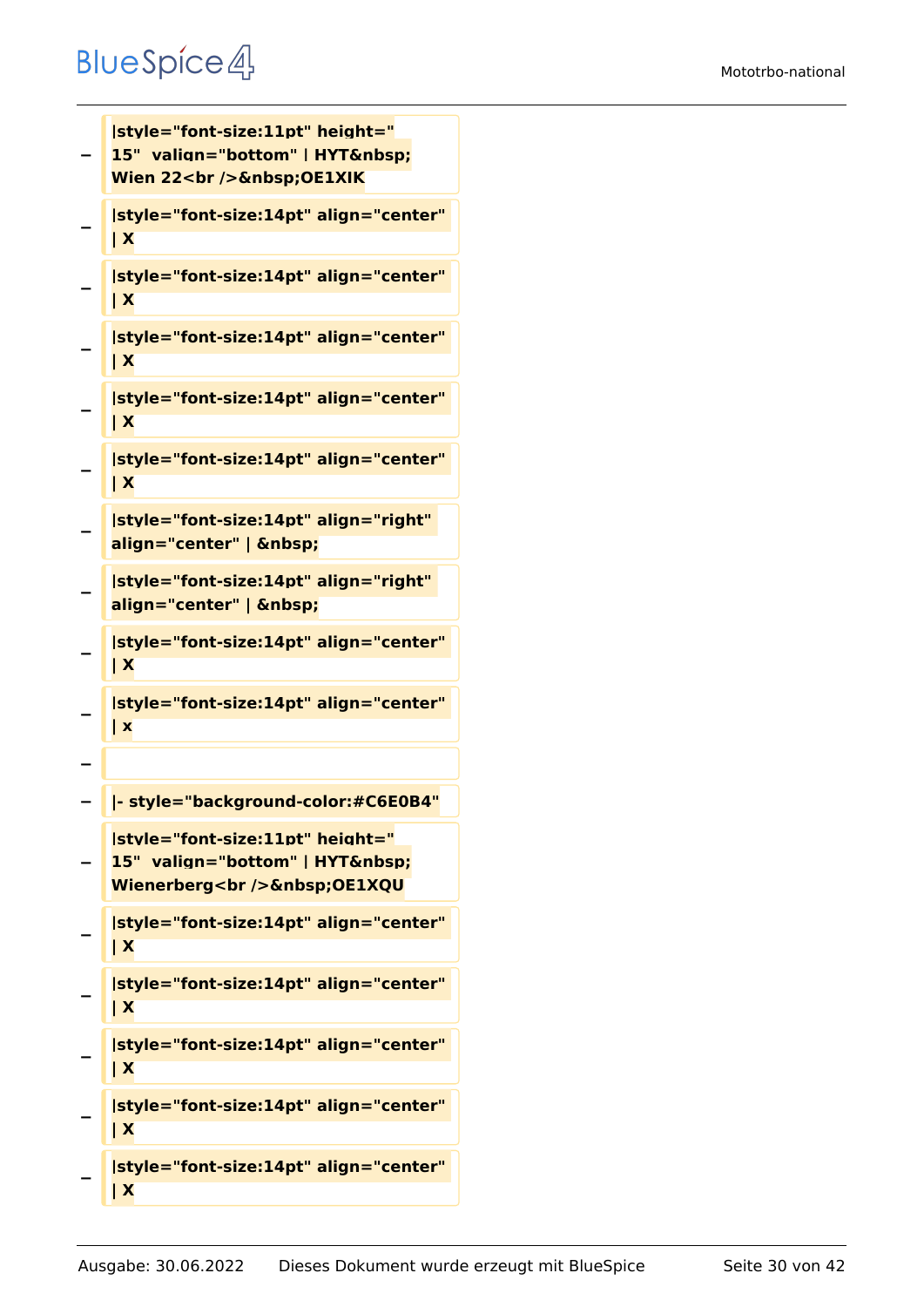#### Mototrbo-national

```
−
   |style="font-size:11pt" height="
   15" valign="bottom" | HYT 
   Wien 22<br />
Schaft>
OE1XIK
−
   |style="font-size:14pt" align="center" 
   | X
−
   |style="font-size:14pt" align="center" 
   | X
−
   |style="font-size:14pt" align="center" 
   | X
−
   |style="font-size:14pt" align="center" 
   | X
−
   |style="font-size:14pt" align="center" 
   | X
−
   |style="font-size:14pt" align="right" 
   align="center" |  
−
   |style="font-size:14pt" align="right" 
   align="center" |  
−
   |style="font-size:14pt" align="center" 
   | X
−
   |style="font-size:14pt" align="center" 
   | x
−
  − |- style="background-color:#C6E0B4"
−
   |style="font-size:11pt" height="
   15" valign="bottom" | HYT 
   Wienerberg<br />
Schbsp;OE1XQU
−
   |style="font-size:14pt" align="center" 
   | X
−
   |style="font-size:14pt" align="center" 
   | X
−
   |style="font-size:14pt" align="center" 
   | X
−
   |style="font-size:14pt" align="center" 
   | X
−
   |style="font-size:14pt" align="center" 
   | X
```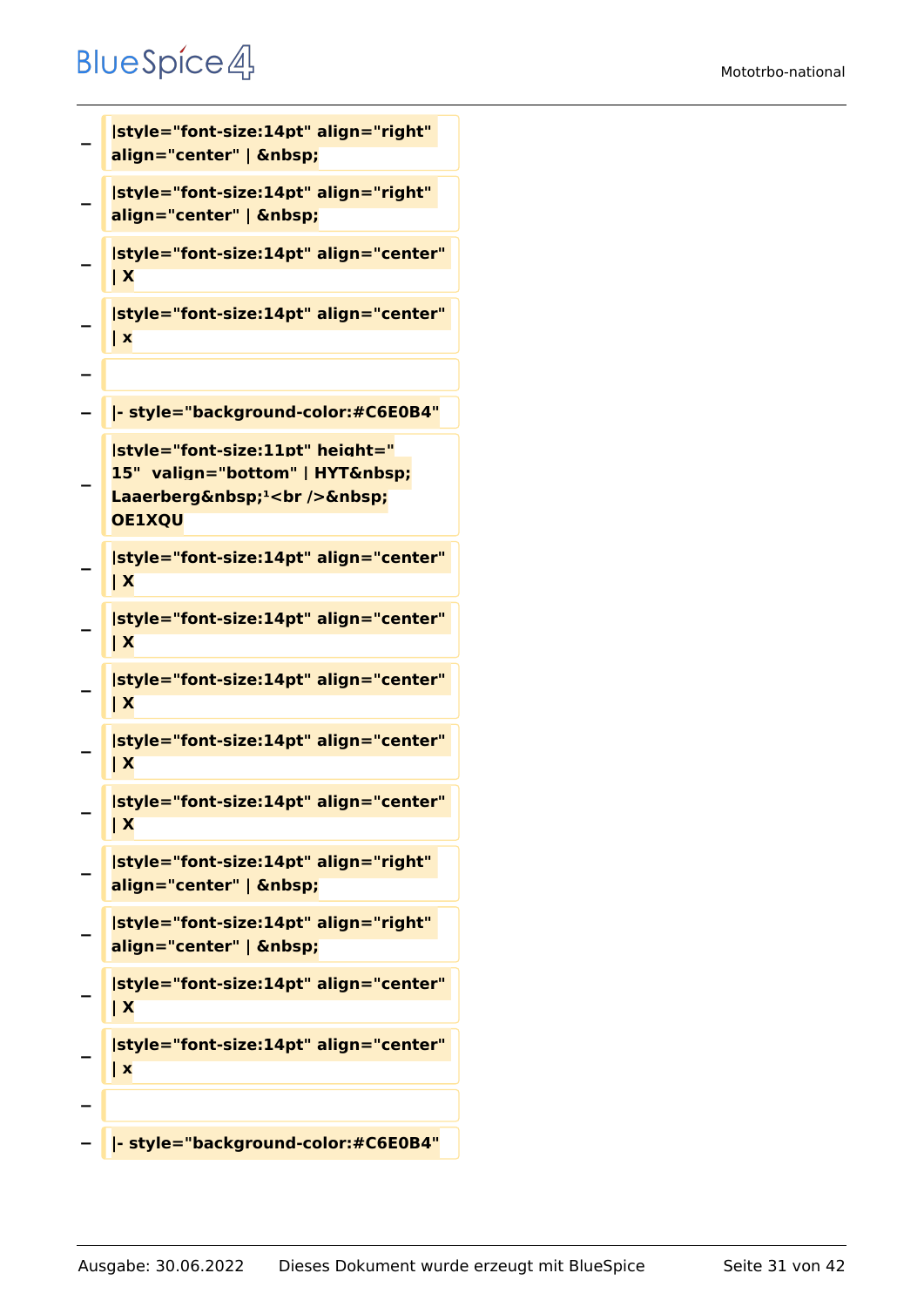```
−
   |style="font-size:14pt" align="right" 
   align="center" |  
−
   |style="font-size:14pt" align="right" 
   align="center" |  
−
   |style="font-size:14pt" align="center" 
   | X
−
   |style="font-size:14pt" align="center" 
   | x
−
  − |- style="background-color:#C6E0B4"
−
   |style="font-size:11pt" height="
   15" valign="bottom" | HYT 
   Laaerberg <sup>1</sup><br />
&nbsp;
   OE1XQU
−
   |style="font-size:14pt" align="center" 
   | X
−
   |style="font-size:14pt" align="center" 
   | X
−
   |style="font-size:14pt" align="center" 
   | X
−
   |style="font-size:14pt" align="center" 
   | X
−
   |style="font-size:14pt" align="center" 
   | X
−
   |style="font-size:14pt" align="right" 
   align="center" |  
−
   |style="font-size:14pt" align="right" 
   align="center" |  
−
   |style="font-size:14pt" align="center" 
   | X
−
   |style="font-size:14pt" align="center" 
   | x
−
  − |- style="background-color:#C6E0B4"
```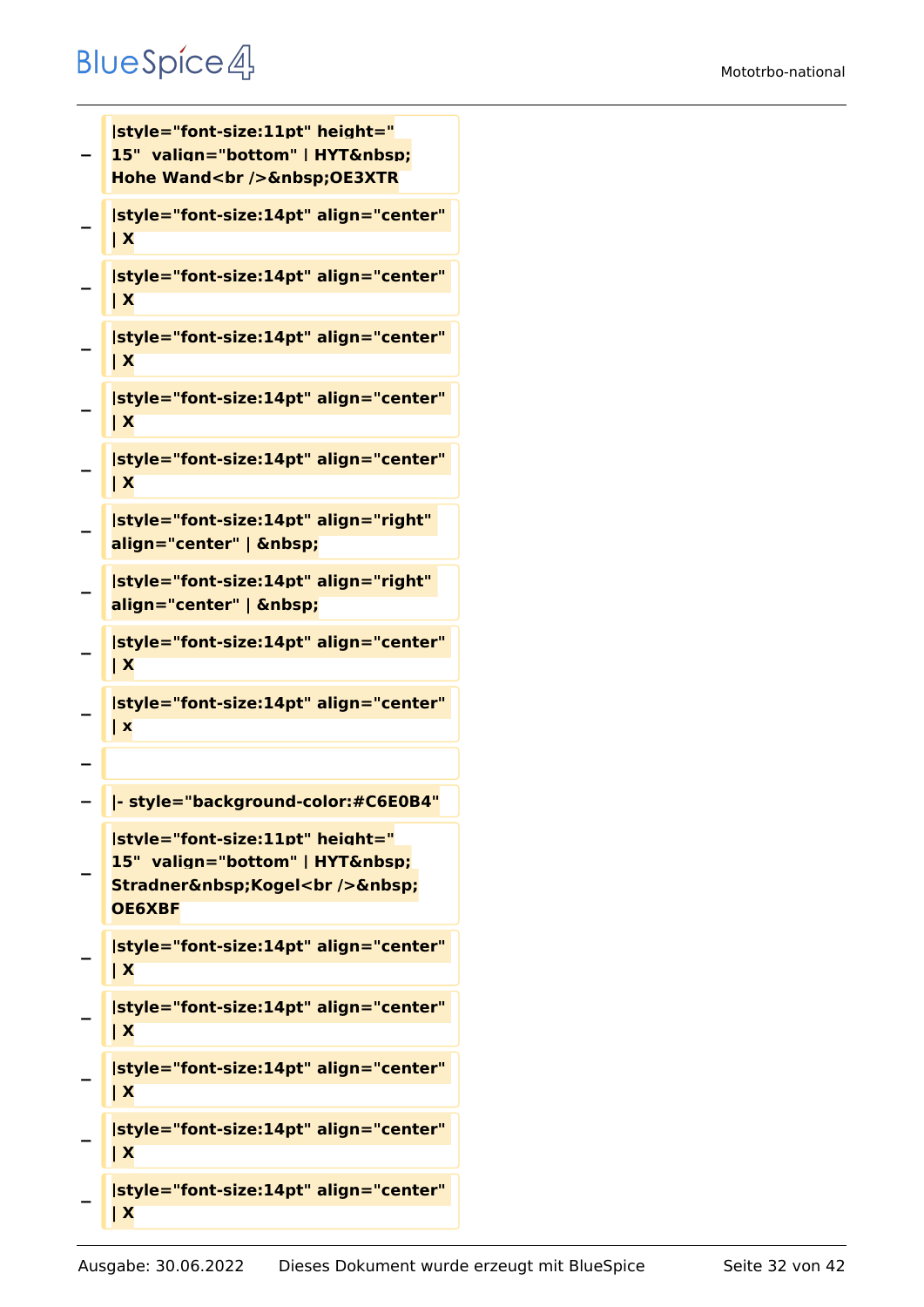```
−
   |style="font-size:11pt" height="
   15" valign="bottom" | HYT 
   Hohe Wand<br />
Schift />
Gobsdallanger/Manuform
−
   |style="font-size:14pt" align="center" 
   | X
−
   |style="font-size:14pt" align="center" 
   | X
−
   |style="font-size:14pt" align="center" 
   | X
−
   |style="font-size:14pt" align="center" 
   | X
−
   |style="font-size:14pt" align="center" 
   | X
−
   |style="font-size:14pt" align="right" 
   align="center" |  
−
   |style="font-size:14pt" align="right" 
   align="center" |  
−
   |style="font-size:14pt" align="center" 
   | X
−
   |style="font-size:14pt" align="center" 
   | x
−
  − |- style="background-color:#C6E0B4"
−
   |style="font-size:11pt" height="
   15" valign="bottom" | HYT 
   Stradner Kogel<br />
Stradner 
   OE6XBF
−
   |style="font-size:14pt" align="center" 
   | X
−
   |style="font-size:14pt" align="center" 
   | X
−
   |style="font-size:14pt" align="center" 
   | X
−
   |style="font-size:14pt" align="center" 
   | X
−
   |style="font-size:14pt" align="center" 
   | X
```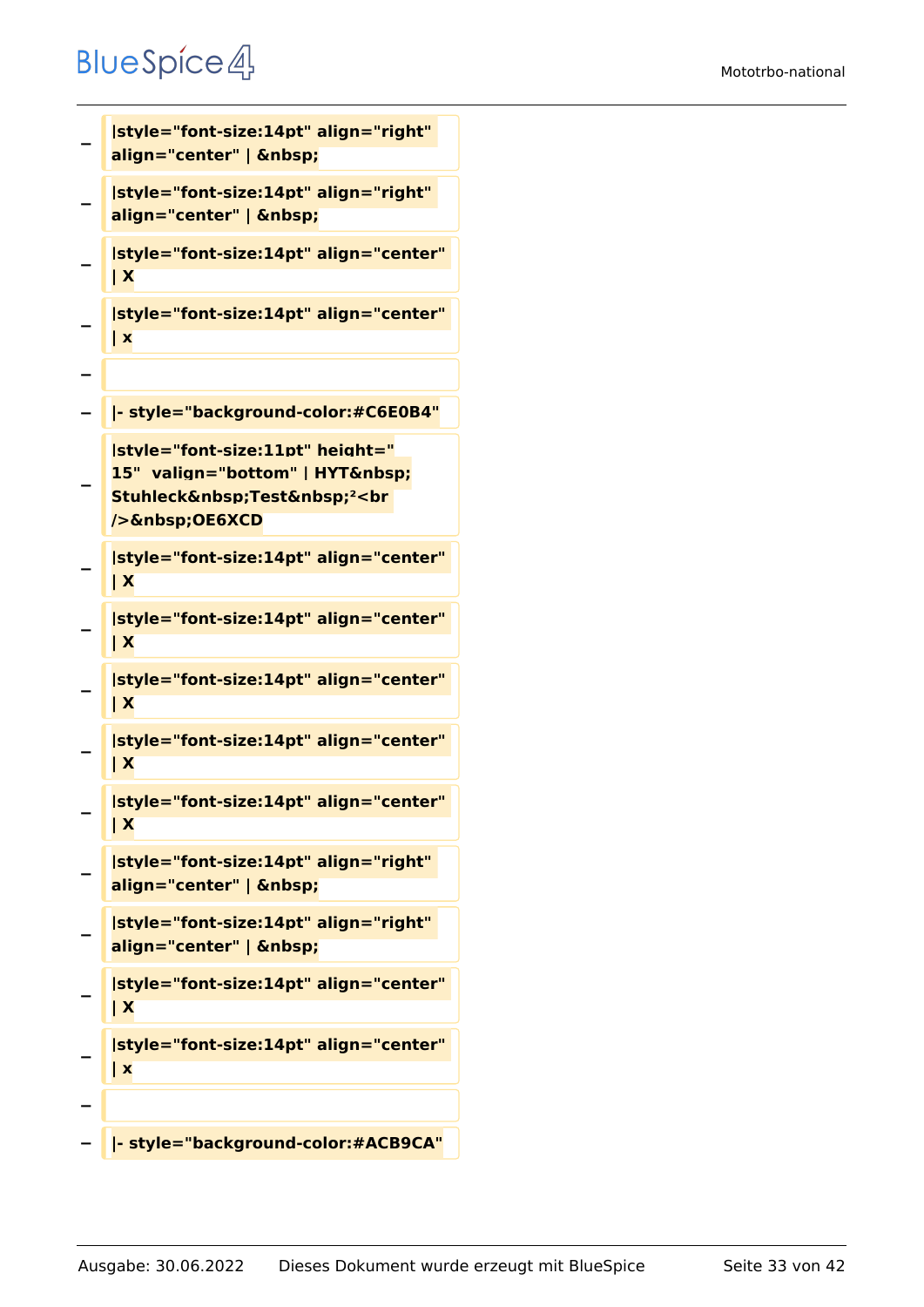```
−
   |style="font-size:14pt" align="right" 
   align="center" |  
−
  |style="font-size:14pt" align="right" 
   align="center" |  
−
   |style="font-size:14pt" align="center" 
   | X
−
   |style="font-size:14pt" align="center" 
   | x
−
  − |- style="background-color:#C6E0B4"
−
   |style="font-size:11pt" height="
   15" valign="bottom" | HYT 
   Stuhleck Test <sup>2</sup><br
   /> OE6XCD
−
   |style="font-size:14pt" align="center" 
   | X
−
   |style="font-size:14pt" align="center" 
   | X
−
   |style="font-size:14pt" align="center" 
   | X
−
   |style="font-size:14pt" align="center" 
   | X
−
   |style="font-size:14pt" align="center" 
   | X
−
   |style="font-size:14pt" align="right" 
   align="center" |  
−
   |style="font-size:14pt" align="right" 
   align="center" |  
−
   |style="font-size:14pt" align="center" 
   | X
−
   |style="font-size:14pt" align="center" 
   | x
−
  − |- style="background-color:#ACB9CA"
```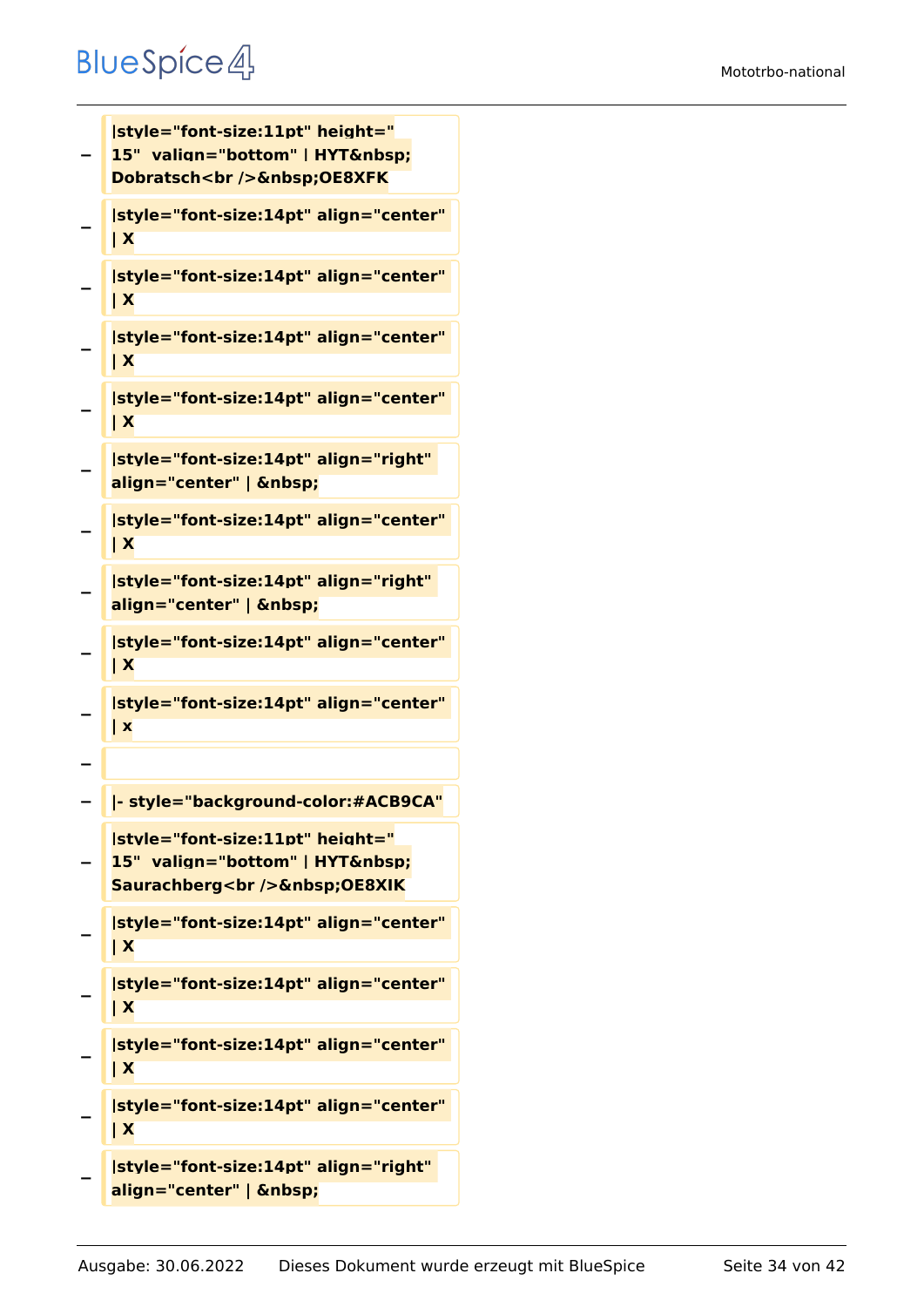**|style="font-size:11pt" height="**

```
−
   15" valign="bottom" | HYT 
   Dobratsch<br />
OE8XFK
−
   |style="font-size:14pt" align="center" 
   | X
−
   |style="font-size:14pt" align="center" 
   | X
−
   |style="font-size:14pt" align="center" 
   | X
−
   |style="font-size:14pt" align="center" 
   | X
−
   |style="font-size:14pt" align="right" 
   align="center" |  
−
   |style="font-size:14pt" align="center" 
   | X
−
   |style="font-size:14pt" align="right" 
   align="center" |  
−
   |style="font-size:14pt" align="center" 
   | X
−
   |style="font-size:14pt" align="center" 
   | x
−
  − |- style="background-color:#ACB9CA"
−
   |style="font-size:11pt" height="
   15" valign="bottom" | HYT 
   Saurachberg<br />
Saurachberg<br />
OE8XIK
−
   |style="font-size:14pt" align="center" 
   | X
−
   |style="font-size:14pt" align="center" 
   | X
−
   |style="font-size:14pt" align="center" 
   | X
−
   |style="font-size:14pt" align="center" 
   | X
−
   |style="font-size:14pt" align="right" 
   align="center" |
```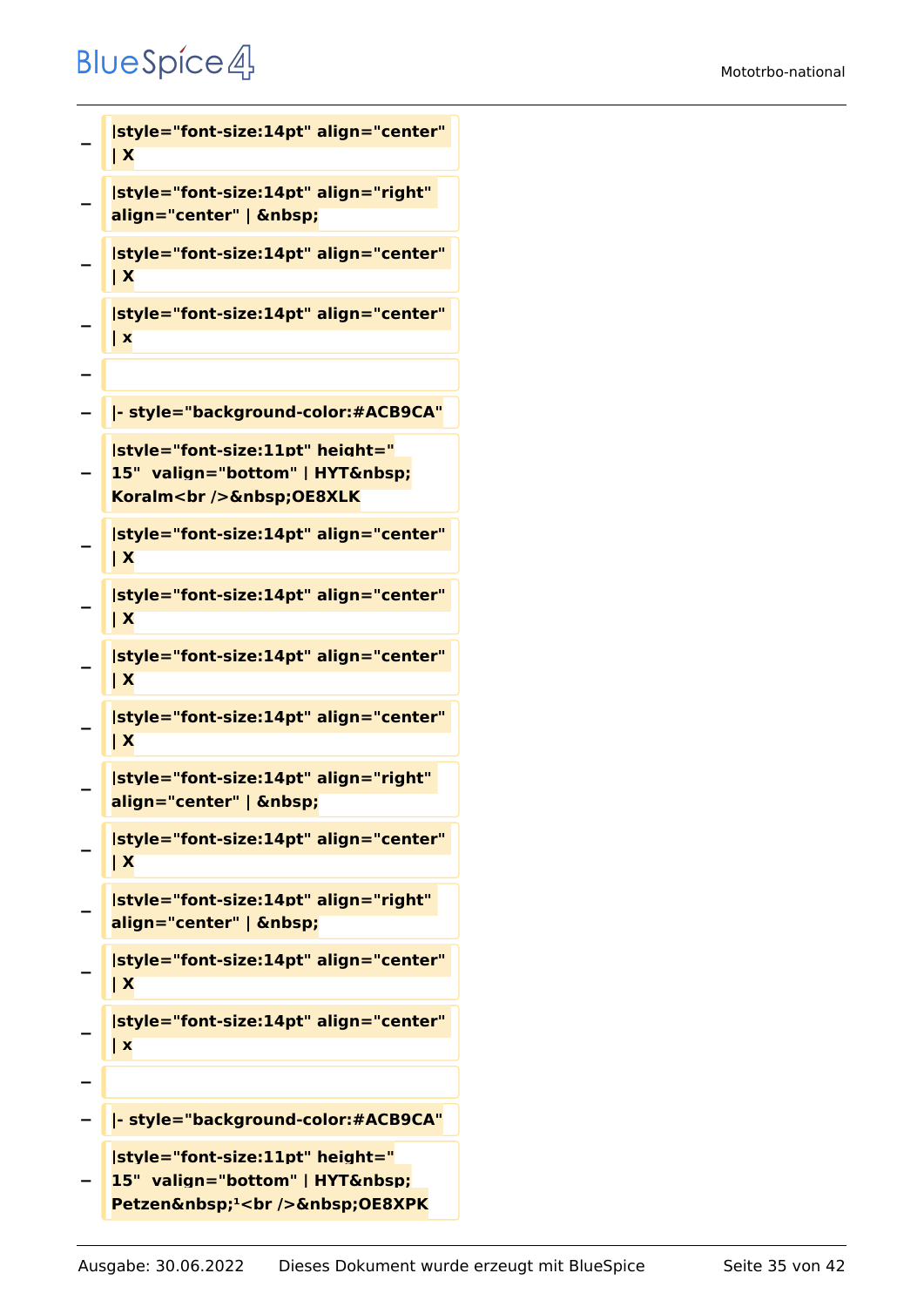```
−
   |style="font-size:14pt" align="center" 
   | X
−
   |style="font-size:14pt" align="right" 
   align="center" |  
−
   |style="font-size:14pt" align="center" 
   | X
−
   |style="font-size:14pt" align="center" 
   | x
−
  − |- style="background-color:#ACB9CA"
−
   |style="font-size:11pt" height="
   15" valign="bottom" | HYT 
   Koralm<br />
Example />
<u>Senbsp</u>;OE8XLK
−
   |style="font-size:14pt" align="center" 
   | X
−
   |style="font-size:14pt" align="center" 
   | X
−
   |style="font-size:14pt" align="center" 
   | X
−
   |style="font-size:14pt" align="center" 
   | X
−
   |style="font-size:14pt" align="right" 
   align="center" |  
−
   |style="font-size:14pt" align="center" 
   | X
−
   |style="font-size:14pt" align="right" 
   align="center" |  
−
   |style="font-size:14pt" align="center" 
   | X
−
   |style="font-size:14pt" align="center" 
   | x
−
   − |- style="background-color:#ACB9CA"
−
   |style="font-size:11pt" height="
   15"  valign="bottom" | HYT&nbsp:
   Petzen <sup>1</sup><br />
OE68XPK
```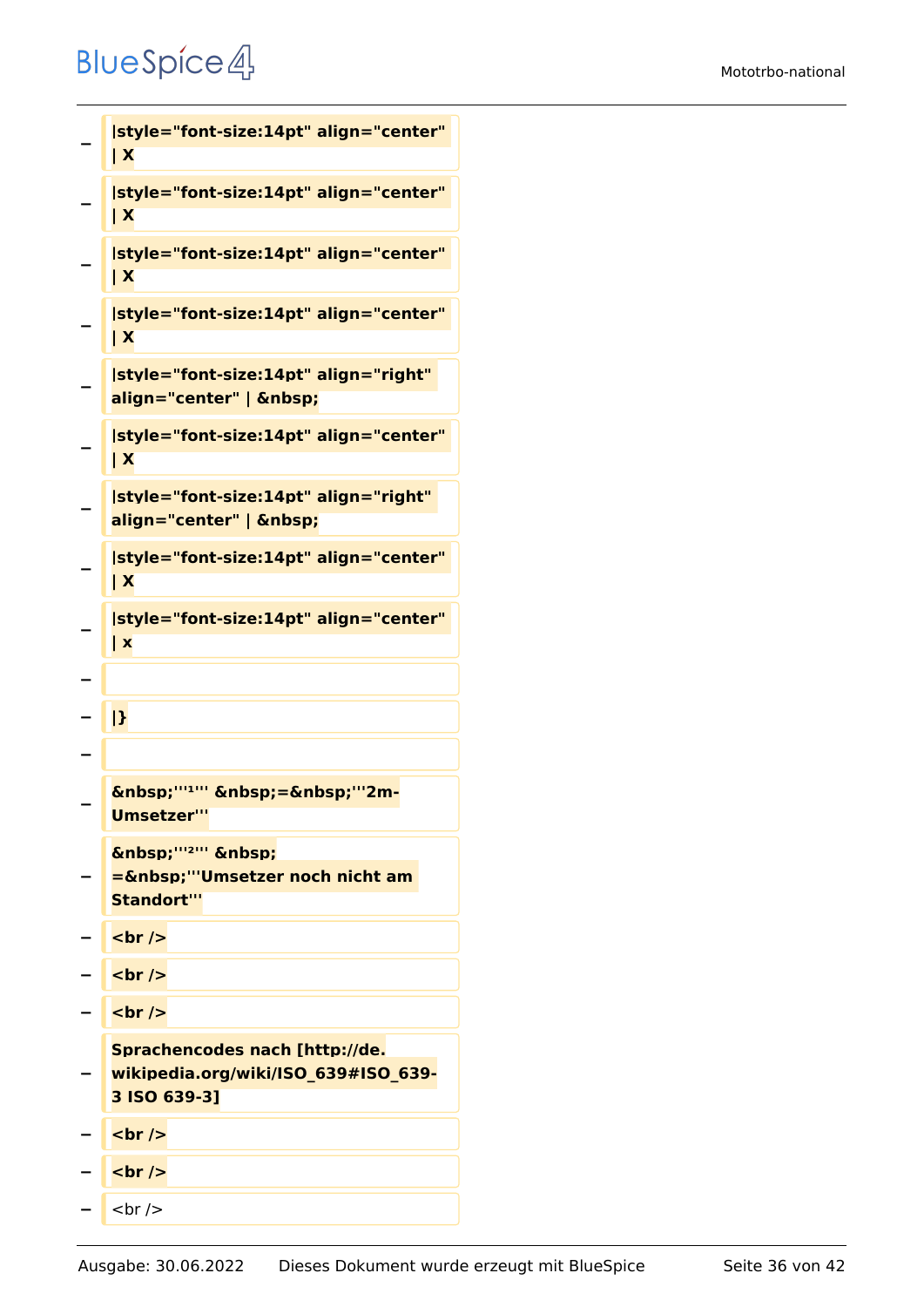```
−
    |style="font-size:14pt" align="center" 
    | X
−
    |style="font-size:14pt" align="center" 
    | X
−
    |style="font-size:14pt" align="center" 
    | X
−
    |style="font-size:14pt" align="center" 
    | X
−
    |style="font-size:14pt" align="right" 
    align="center" |  
−
    |style="font-size:14pt" align="center" 
    | X
−
    |style="font-size:14pt" align="right" 
    align="center" |  
−
    |style="font-size:14pt" align="center" 
    | X
−
    |style="font-size:14pt" align="center" 
    | x
−
   − |}
−
−
    \ "'<sup>1</sup>" \ =\ "'2m-
    Umsetzer'''
−
    \deltanbsp;'''<sup>2'''</sup> \deltanbsp;
   Example 1 = 6 \text{\math} \sqrt{\mumb{\smath{\smath{\smath{\smath{\smath{\smath{\smath{\smath{\smath{\smath{\smath{\smath{\smath{\smath{\smath{\smath{\smath{\smath{\smath{\smath{\smath{\smath{\smath{\smath{\smath{\smath
    Standort'''
− <br />
  <del>−</del> <u>k</del></u>
− <br />
−
    Sprachencodes nach [http://de.
   wikipedia.org/wiki/ISO_639#ISO_639-
    3 ISO 639-3]
 − <br />
  <u>−</del> <b>h</b></u>
    − <br />
```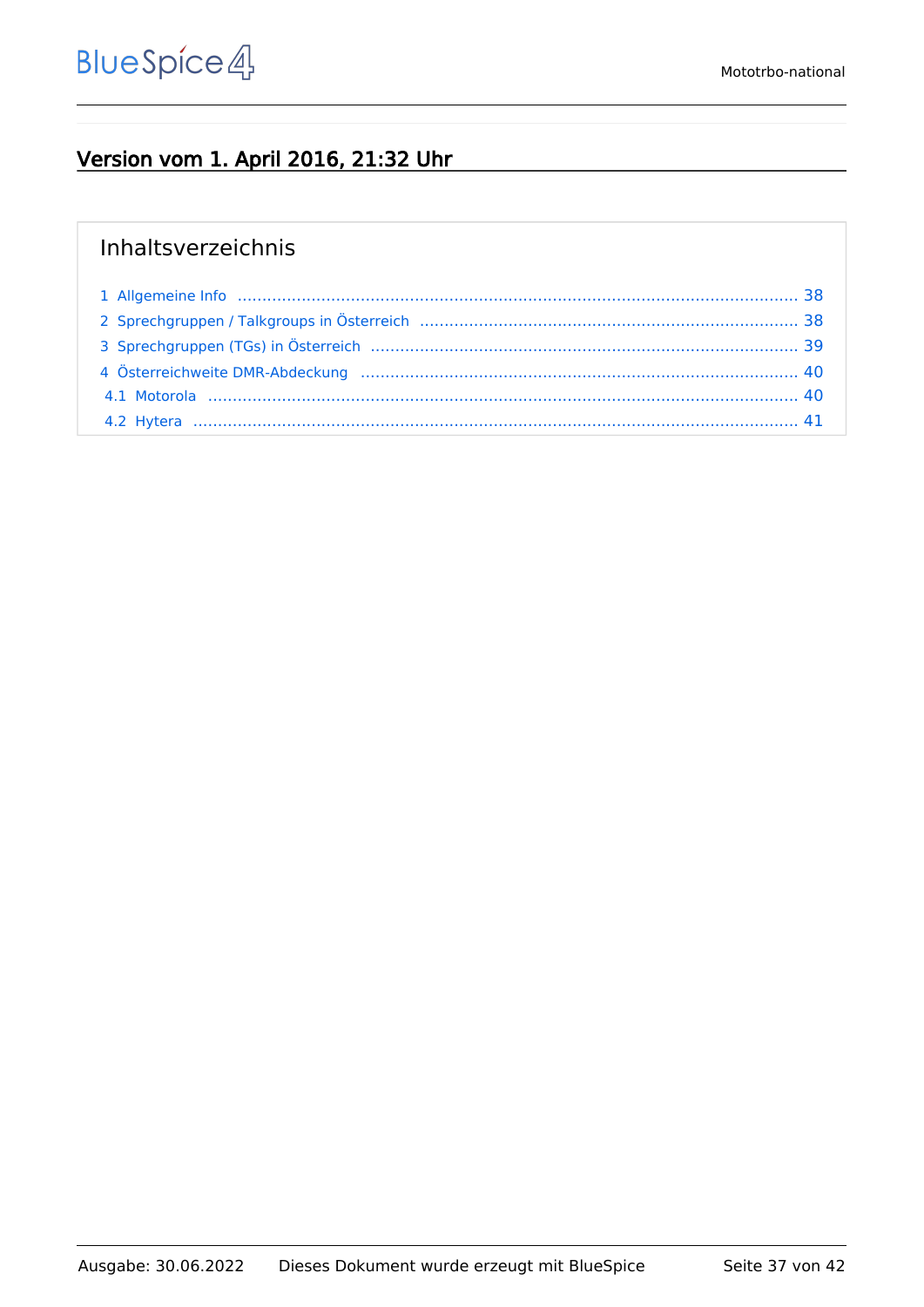#### Version vom 1. April 2016, 21:32 Uhr

#### Inhaltsverzeichnis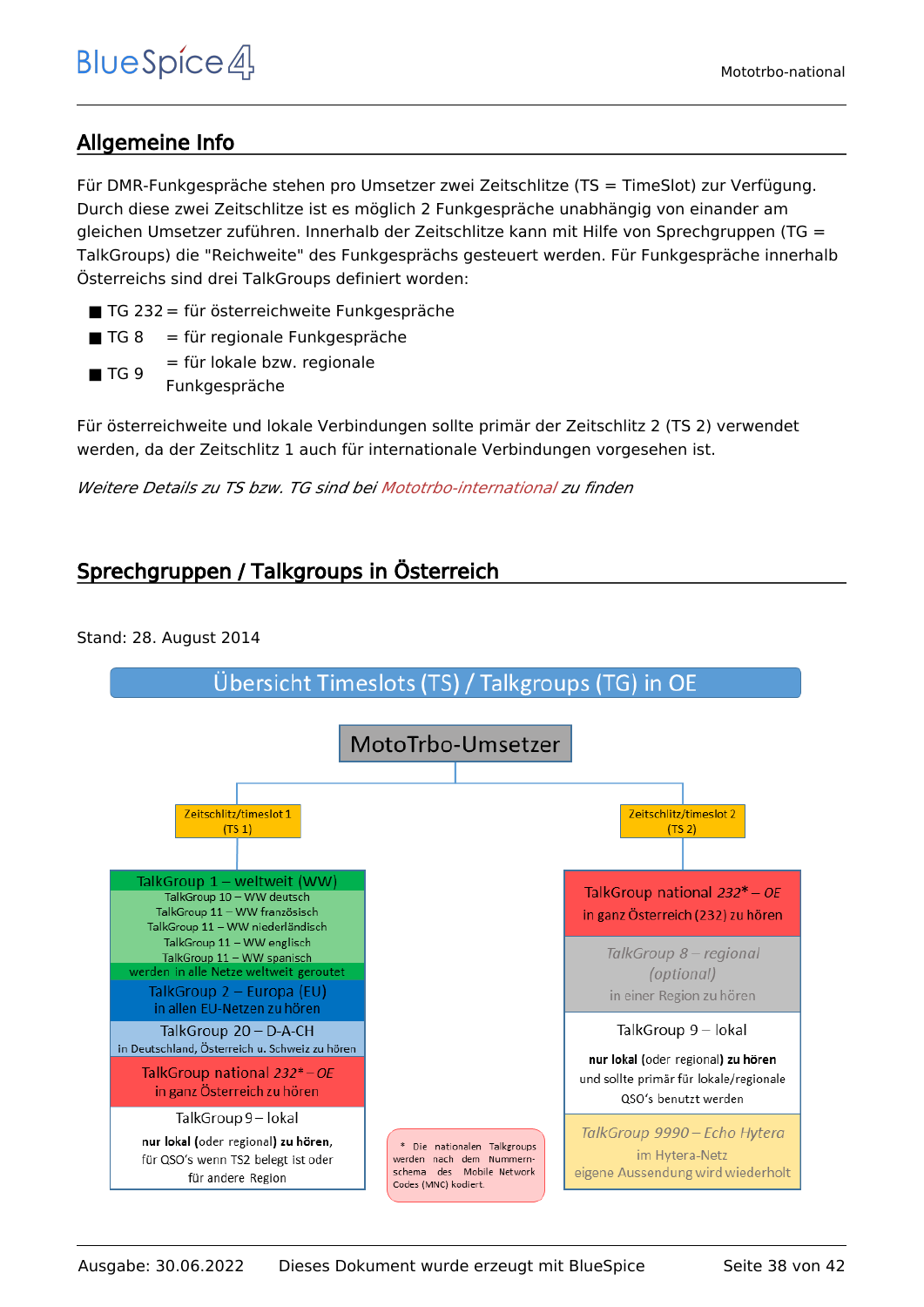#### <span id="page-37-0"></span>Allgemeine Info

Für DMR-Funkgespräche stehen pro Umsetzer zwei Zeitschlitze (TS = TimeSlot) zur Verfügung. Durch diese zwei Zeitschlitze ist es möglich 2 Funkgespräche unabhängig von einander am gleichen Umsetzer zuführen. Innerhalb der Zeitschlitze kann mit Hilfe von Sprechgruppen (TG = TalkGroups) die "Reichweite" des Funkgesprächs gesteuert werden. Für Funkgespräche innerhalb Österreichs sind drei TalkGroups definiert worden:

- TG 232 = für österreichweite Funkgespräche
- $\blacksquare$  TG 8 = für regionale Funkgespräche
- $\blacksquare$  TG 9 = für lokale bzw. regionale Funkgespräche

Für österreichweite und lokale Verbindungen sollte primär der Zeitschlitz 2 (TS 2) verwendet werden, da der Zeitschlitz 1 auch für internationale Verbindungen vorgesehen ist.

*Weitere Details zu TS bzw. TG sind bei [Mototrbo-international](https://wiki.oevsv.at/w/index.php?title=Mototrbo-international&action=view) zu finden*

#### <span id="page-37-1"></span>Sprechgruppen / Talkgroups in Österreich

Stand: 28. August 2014

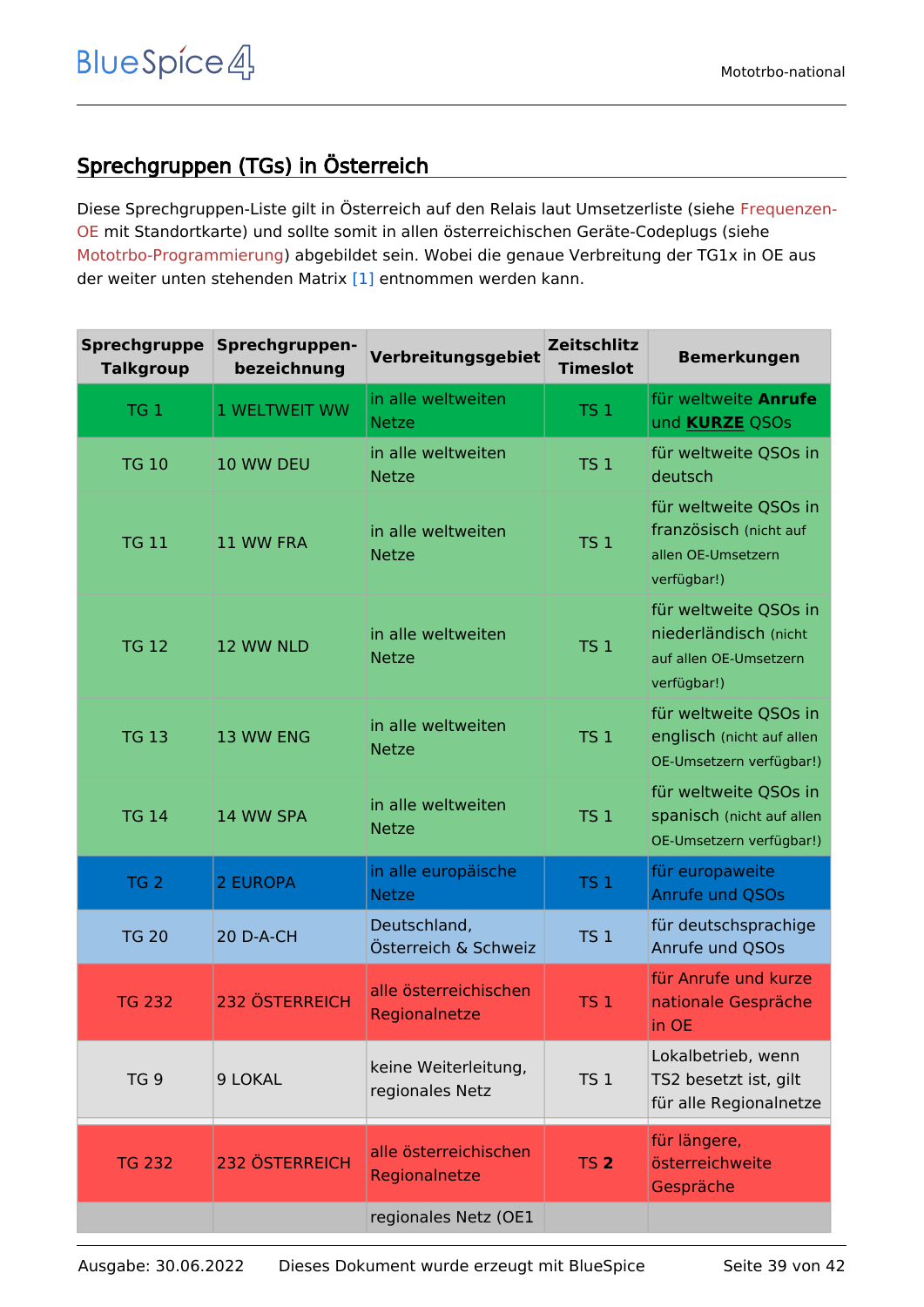#### <span id="page-38-0"></span>Sprechgruppen (TGs) in Österreich

Diese Sprechgruppen-Liste gilt in Österreich auf den Relais laut Umsetzerliste (siehe [Frequenzen-](https://wiki.oevsv.at/w/index.php?title=Frequenzen-OE&action=view)[OE](https://wiki.oevsv.at/w/index.php?title=Frequenzen-OE&action=view) mit Standortkarte) und sollte somit in allen österreichischen Geräte-Codeplugs (siehe [Mototrbo-Programmierung](https://wiki.oevsv.at/w/index.php?title=Mototrbo-Programmierung&action=view)) abgebildet sein. Wobei die genaue Verbreitung der TG1x in OE aus der weiter unten stehenden Matrix [\[1\]](http://wiki.oevsv.at/index.php?title=Mototrbo-national#DMR_Talkgroup-Matrix_in_.C3.96sterreich) entnommen werden kann.

| <b>Sprechgruppe</b><br><b>Talkgroup</b> | Sprechgruppen-<br>bezeichnung | Verbreitungsgebiet                      | <b>Zeitschlitz</b><br><b>Timeslot</b> | <b>Bemerkungen</b>                                                                      |
|-----------------------------------------|-------------------------------|-----------------------------------------|---------------------------------------|-----------------------------------------------------------------------------------------|
| TG <sub>1</sub>                         | <b>1 WELTWEIT WW</b>          | in alle weltweiten<br><b>Netze</b>      | <b>TS 1</b>                           | für weltweite Anrufe<br>und <b>KURZE</b> QSOs                                           |
| <b>TG 10</b>                            | 10 WW DEU                     | in alle weltweiten<br><b>Netze</b>      | TS <sub>1</sub>                       | für weltweite QSOs in<br>deutsch                                                        |
| <b>TG 11</b>                            | 11 WW FRA                     | in alle weltweiten<br><b>Netze</b>      | <b>TS 1</b>                           | für weltweite QSOs in<br>französisch (nicht auf<br>allen OE-Umsetzern<br>verfügbar!)    |
| <b>TG 12</b>                            | 12 WW NLD                     | in alle weltweiten<br><b>Netze</b>      | TS <sub>1</sub>                       | für weltweite QSOs in<br>niederländisch (nicht<br>auf allen OE-Umsetzern<br>verfügbar!) |
| <b>TG 13</b>                            | 13 WW ENG                     | in alle weltweiten<br><b>Netze</b>      | <b>TS 1</b>                           | für weltweite QSOs in<br>englisch (nicht auf allen<br>OE-Umsetzern verfügbar!)          |
| <b>TG 14</b>                            | 14 WW SPA                     | in alle weltweiten<br><b>Netze</b>      | TS <sub>1</sub>                       | für weltweite QSOs in<br>spanisch (nicht auf allen<br>OE-Umsetzern verfügbar!)          |
| TG <sub>2</sub>                         | 2 EUROPA                      | in alle europäische<br><b>Netze</b>     | TS <sub>1</sub>                       | für europaweite<br>Anrufe und QSOs                                                      |
| <b>TG 20</b>                            | 20 D-A-CH                     | Deutschland,<br>Österreich & Schweiz    | TS <sub>1</sub>                       | für deutschsprachige<br>Anrufe und OSOs                                                 |
| <b>TG 232</b>                           | <b>232 ÖSTERREICH</b>         | alle österreichischen<br>Regionalnetze  | <b>TS 1</b>                           | für Anrufe und kurze<br>nationale Gespräche<br>in OE                                    |
| TG <sub>9</sub>                         | 9 LOKAL                       | keine Weiterleitung,<br>regionales Netz | TS <sub>1</sub>                       | Lokalbetrieb, wenn<br>TS2 besetzt ist, gilt<br>für alle Regionalnetze                   |
| <b>TG 232</b>                           | 232 ÖSTERREICH                | alle österreichischen<br>Regionalnetze  | <b>TS 2</b>                           | für längere,<br>österreichweite<br>Gespräche                                            |
|                                         |                               | regionales Netz (OE1                    |                                       |                                                                                         |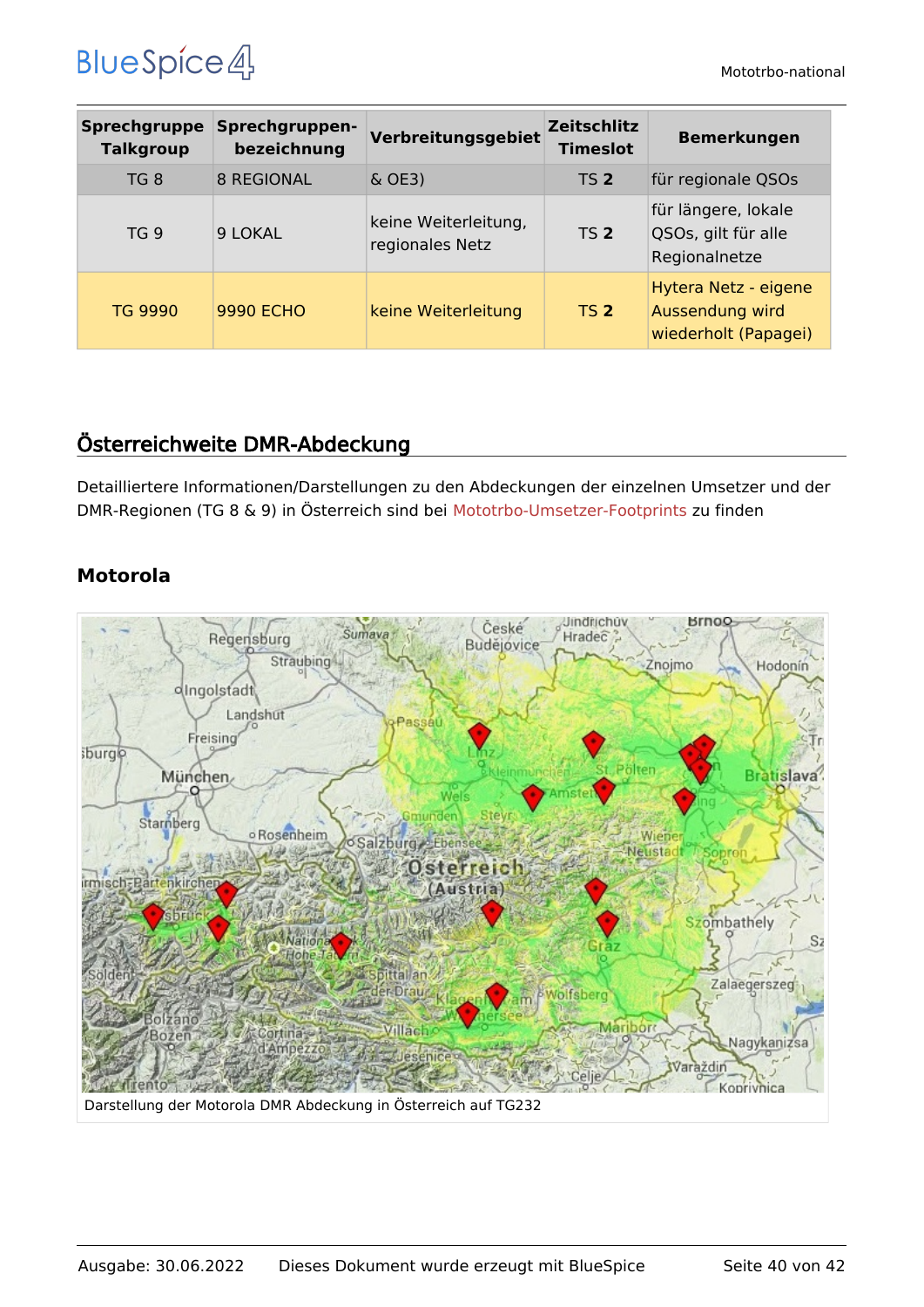| <b>Sprechgruppe</b><br><b>Talkgroup</b> | Sprechgruppen-<br>bezeichnung | Verbreitungsgebiet                      | <b>Zeitschlitz</b><br><b>Timeslot</b> | <b>Bemerkungen</b>                                              |
|-----------------------------------------|-------------------------------|-----------------------------------------|---------------------------------------|-----------------------------------------------------------------|
| TG 8                                    | <b>8 REGIONAL</b>             | $\&$ OE3)                               | <b>TS 2</b>                           | für regionale QSOs                                              |
| TG <sub>9</sub>                         | 9 LOKAL                       | keine Weiterleitung,<br>regionales Netz | TS <sub>2</sub>                       | für längere, lokale<br>QSOs, gilt für alle<br>Regionalnetze     |
| <b>TG 9990</b>                          | <b>9990 ECHO</b>              | keine Weiterleitung                     | <b>TS 2</b>                           | Hytera Netz - eigene<br>Aussendung wird<br>wiederholt (Papagei) |

#### <span id="page-39-0"></span>Österreichweite DMR-Abdeckung

Detailliertere Informationen/Darstellungen zu den Abdeckungen der einzelnen Umsetzer und der DMR-Regionen (TG 8 & 9) in Österreich sind bei [Mototrbo-Umsetzer-Footprints](https://wiki.oevsv.at/w/index.php?title=Mototrbo-Umsetzer-Footprints&action=view) zu finden

#### **Motorola**

<span id="page-39-1"></span>